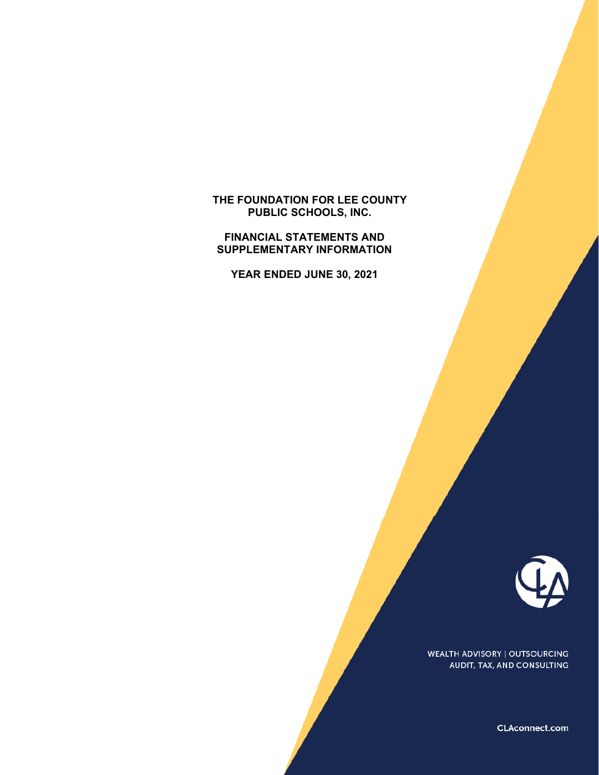# **THE FOUNDATION FOR LEE COUNTY PUBLIC SCHOOLS, INC.**

**FINANCIAL STATEMENTS AND SUPPLEMENTARY INFORMATION** 

**YEAR ENDED JUNE 30, 2021** 



**WEALTH ADVISORY | OUTSOURCING** AUDIT, TAX, AND CONSULTING

CLAconnect.com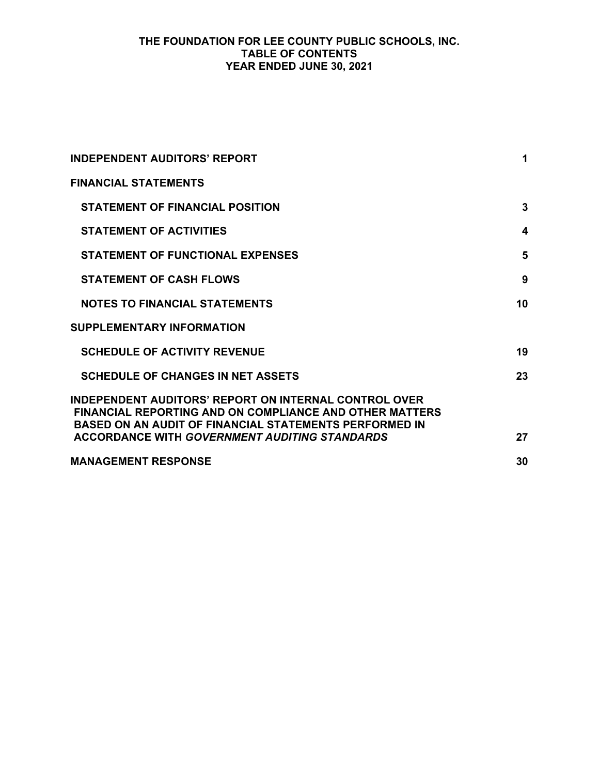# **THE FOUNDATION FOR LEE COUNTY PUBLIC SCHOOLS, INC. TABLE OF CONTENTS YEAR ENDED JUNE 30, 2021**

| <b>INDEPENDENT AUDITORS' REPORT</b>                                                                                                                                                      | 1  |
|------------------------------------------------------------------------------------------------------------------------------------------------------------------------------------------|----|
| <b>FINANCIAL STATEMENTS</b>                                                                                                                                                              |    |
| <b>STATEMENT OF FINANCIAL POSITION</b>                                                                                                                                                   | 3  |
| <b>STATEMENT OF ACTIVITIES</b>                                                                                                                                                           | 4  |
| <b>STATEMENT OF FUNCTIONAL EXPENSES</b>                                                                                                                                                  | 5  |
| <b>STATEMENT OF CASH FLOWS</b>                                                                                                                                                           | 9  |
| <b>NOTES TO FINANCIAL STATEMENTS</b>                                                                                                                                                     | 10 |
| <b>SUPPLEMENTARY INFORMATION</b>                                                                                                                                                         |    |
| <b>SCHEDULE OF ACTIVITY REVENUE</b>                                                                                                                                                      | 19 |
| <b>SCHEDULE OF CHANGES IN NET ASSETS</b>                                                                                                                                                 | 23 |
| <b>INDEPENDENT AUDITORS' REPORT ON INTERNAL CONTROL OVER</b><br><b>FINANCIAL REPORTING AND ON COMPLIANCE AND OTHER MATTERS</b><br>BASED ON AN AUDIT OF FINANCIAL STATEMENTS PERFORMED IN |    |
| <b>ACCORDANCE WITH GOVERNMENT AUDITING STANDARDS</b>                                                                                                                                     | 27 |
| <b>MANAGEMENT RESPONSE</b>                                                                                                                                                               | 30 |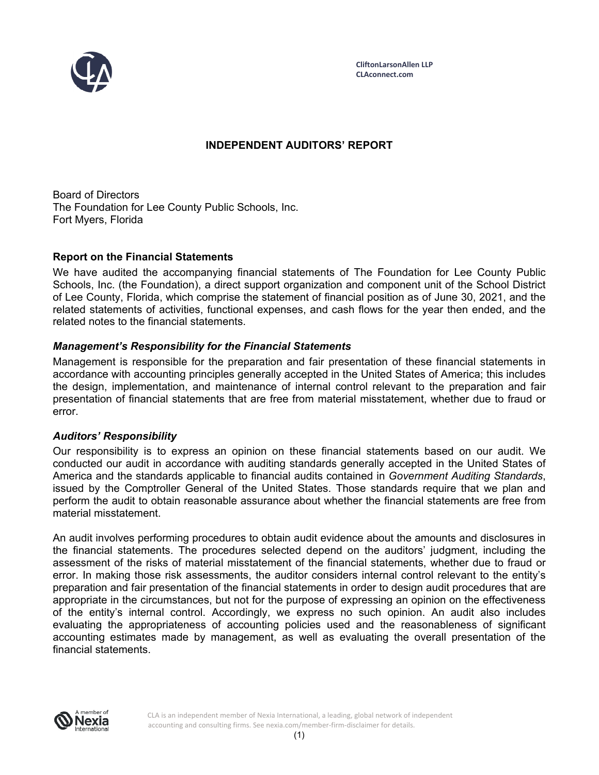

# **INDEPENDENT AUDITORS' REPORT**

Board of Directors The Foundation for Lee County Public Schools, Inc. Fort Myers, Florida

## **Report on the Financial Statements**

We have audited the accompanying financial statements of The Foundation for Lee County Public Schools, Inc. (the Foundation), a direct support organization and component unit of the School District of Lee County, Florida, which comprise the statement of financial position as of June 30, 2021, and the related statements of activities, functional expenses, and cash flows for the year then ended, and the related notes to the financial statements.

# *Management's Responsibility for the Financial Statements*

Management is responsible for the preparation and fair presentation of these financial statements in accordance with accounting principles generally accepted in the United States of America; this includes the design, implementation, and maintenance of internal control relevant to the preparation and fair presentation of financial statements that are free from material misstatement, whether due to fraud or error.

#### *Auditors' Responsibility*

Our responsibility is to express an opinion on these financial statements based on our audit. We conducted our audit in accordance with auditing standards generally accepted in the United States of America and the standards applicable to financial audits contained in *Government Auditing Standards*, issued by the Comptroller General of the United States. Those standards require that we plan and perform the audit to obtain reasonable assurance about whether the financial statements are free from material misstatement.

An audit involves performing procedures to obtain audit evidence about the amounts and disclosures in the financial statements. The procedures selected depend on the auditors' judgment, including the assessment of the risks of material misstatement of the financial statements, whether due to fraud or error. In making those risk assessments, the auditor considers internal control relevant to the entity's preparation and fair presentation of the financial statements in order to design audit procedures that are appropriate in the circumstances, but not for the purpose of expressing an opinion on the effectiveness of the entity's internal control. Accordingly, we express no such opinion. An audit also includes evaluating the appropriateness of accounting policies used and the reasonableness of significant accounting estimates made by management, as well as evaluating the overall presentation of the financial statements.



CLA is an independent member of Nexia International, a leading, global network of independent accounting and consulting firms. See nexia.com/member‐firm‐disclaimer for details.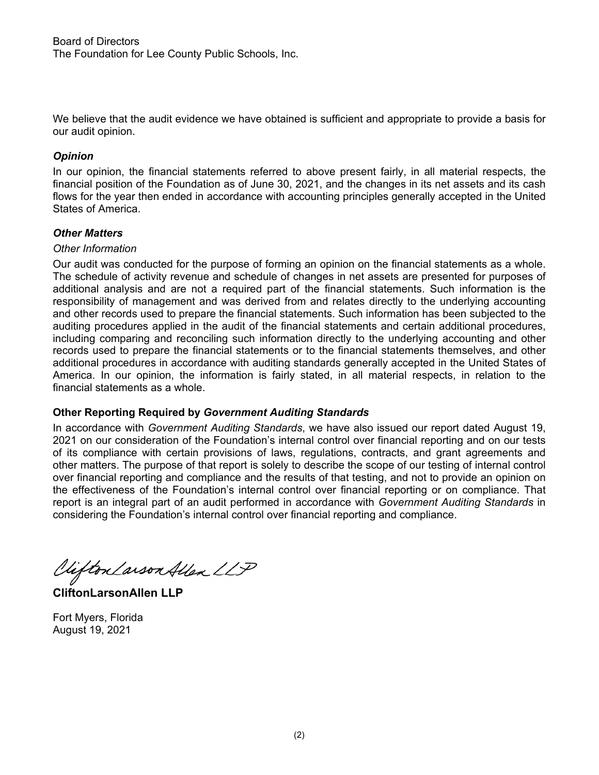We believe that the audit evidence we have obtained is sufficient and appropriate to provide a basis for our audit opinion.

# *Opinion*

In our opinion, the financial statements referred to above present fairly, in all material respects, the financial position of the Foundation as of June 30, 2021, and the changes in its net assets and its cash flows for the year then ended in accordance with accounting principles generally accepted in the United States of America.

# *Other Matters*

# *Other Information*

Our audit was conducted for the purpose of forming an opinion on the financial statements as a whole. The schedule of activity revenue and schedule of changes in net assets are presented for purposes of additional analysis and are not a required part of the financial statements. Such information is the responsibility of management and was derived from and relates directly to the underlying accounting and other records used to prepare the financial statements. Such information has been subjected to the auditing procedures applied in the audit of the financial statements and certain additional procedures, including comparing and reconciling such information directly to the underlying accounting and other records used to prepare the financial statements or to the financial statements themselves, and other additional procedures in accordance with auditing standards generally accepted in the United States of America. In our opinion, the information is fairly stated, in all material respects, in relation to the financial statements as a whole.

# **Other Reporting Required by** *Government Auditing Standards*

In accordance with *Government Auditing Standards*, we have also issued our report dated August 19, 2021 on our consideration of the Foundation's internal control over financial reporting and on our tests of its compliance with certain provisions of laws, regulations, contracts, and grant agreements and other matters. The purpose of that report is solely to describe the scope of our testing of internal control over financial reporting and compliance and the results of that testing, and not to provide an opinion on the effectiveness of the Foundation's internal control over financial reporting or on compliance. That report is an integral part of an audit performed in accordance with *Government Auditing Standards* in considering the Foundation's internal control over financial reporting and compliance.

Viifton Larson Allen LLP

**CliftonLarsonAllen LLP** 

Fort Myers, Florida August 19, 2021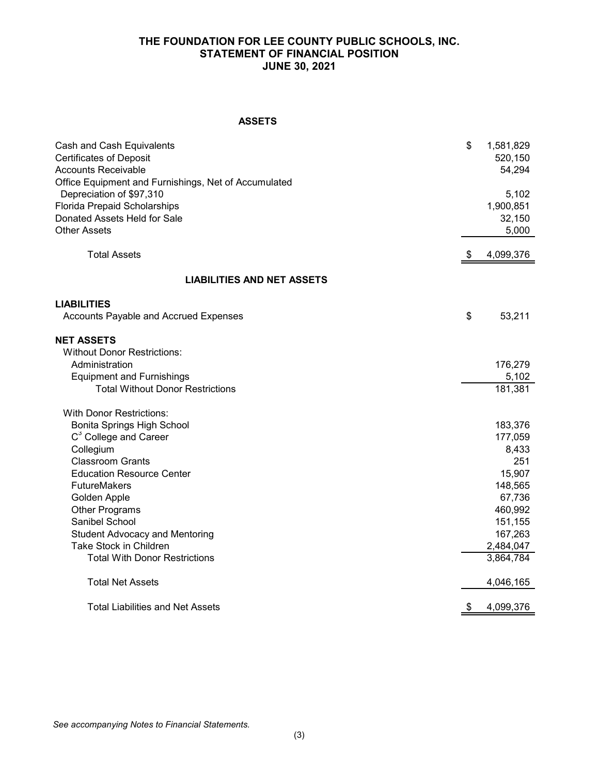# **THE FOUNDATION FOR LEE COUNTY PUBLIC SCHOOLS, INC. STATEMENT OF FINANCIAL POSITION JUNE 30, 2021**

#### **ASSETS**

| Cash and Cash Equivalents<br><b>Certificates of Deposit</b><br><b>Accounts Receivable</b><br>Office Equipment and Furnishings, Net of Accumulated | \$<br>1,581,829<br>520,150<br>54,294 |
|---------------------------------------------------------------------------------------------------------------------------------------------------|--------------------------------------|
| Depreciation of \$97,310                                                                                                                          | 5,102                                |
| <b>Florida Prepaid Scholarships</b>                                                                                                               | 1,900,851                            |
| Donated Assets Held for Sale                                                                                                                      | 32,150                               |
| <b>Other Assets</b>                                                                                                                               | 5,000                                |
| <b>Total Assets</b>                                                                                                                               | \$<br>4,099,376                      |
| <b>LIABILITIES AND NET ASSETS</b>                                                                                                                 |                                      |
| <b>LIABILITIES</b>                                                                                                                                |                                      |
| Accounts Payable and Accrued Expenses                                                                                                             | \$<br>53,211                         |
| <b>NET ASSETS</b>                                                                                                                                 |                                      |
| <b>Without Donor Restrictions:</b>                                                                                                                |                                      |
| Administration                                                                                                                                    | 176,279                              |
| <b>Equipment and Furnishings</b>                                                                                                                  | 5,102                                |
| <b>Total Without Donor Restrictions</b>                                                                                                           | 181,381                              |
| With Donor Restrictions:                                                                                                                          |                                      |
| Bonita Springs High School                                                                                                                        | 183,376                              |
| C <sup>3</sup> College and Career                                                                                                                 | 177,059                              |
| Collegium                                                                                                                                         | 8,433                                |
| <b>Classroom Grants</b>                                                                                                                           | 251                                  |
| <b>Education Resource Center</b>                                                                                                                  | 15,907                               |
| <b>FutureMakers</b>                                                                                                                               | 148,565                              |
| Golden Apple                                                                                                                                      | 67,736                               |
| Other Programs<br>Sanibel School                                                                                                                  | 460,992                              |
| <b>Student Advocacy and Mentoring</b>                                                                                                             | 151,155<br>167,263                   |
| Take Stock in Children                                                                                                                            | 2,484,047                            |
| <b>Total With Donor Restrictions</b>                                                                                                              | 3,864,784                            |
| <b>Total Net Assets</b>                                                                                                                           | 4,046,165                            |
| <b>Total Liabilities and Net Assets</b>                                                                                                           | 4,099,376                            |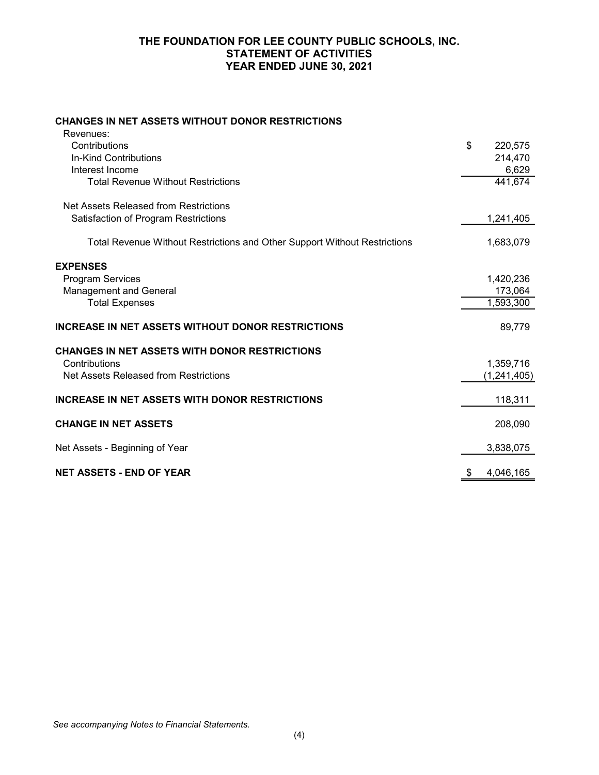# **THE FOUNDATION FOR LEE COUNTY PUBLIC SCHOOLS, INC. STATEMENT OF ACTIVITIES YEAR ENDED JUNE 30, 2021**

### **CHANGES IN NET ASSETS WITHOUT DONOR RESTRICTIONS**

| Revenues:                                                                 |                 |
|---------------------------------------------------------------------------|-----------------|
| Contributions                                                             | \$<br>220,575   |
| In-Kind Contributions                                                     | 214,470         |
| Interest Income                                                           | 6,629           |
| <b>Total Revenue Without Restrictions</b>                                 | 441,674         |
| Net Assets Released from Restrictions                                     |                 |
| Satisfaction of Program Restrictions                                      | 1,241,405       |
| Total Revenue Without Restrictions and Other Support Without Restrictions | 1,683,079       |
| <b>EXPENSES</b>                                                           |                 |
| <b>Program Services</b>                                                   | 1,420,236       |
| Management and General                                                    | 173,064         |
| <b>Total Expenses</b>                                                     | 1,593,300       |
| INCREASE IN NET ASSETS WITHOUT DONOR RESTRICTIONS                         | 89,779          |
| <b>CHANGES IN NET ASSETS WITH DONOR RESTRICTIONS</b>                      |                 |
| Contributions                                                             | 1,359,716       |
| Net Assets Released from Restrictions                                     | (1, 241, 405)   |
| <b>INCREASE IN NET ASSETS WITH DONOR RESTRICTIONS</b>                     | 118,311         |
| <b>CHANGE IN NET ASSETS</b>                                               | 208,090         |
| Net Assets - Beginning of Year                                            | 3,838,075       |
| NET ASSETS - END OF YEAR                                                  | \$<br>4,046,165 |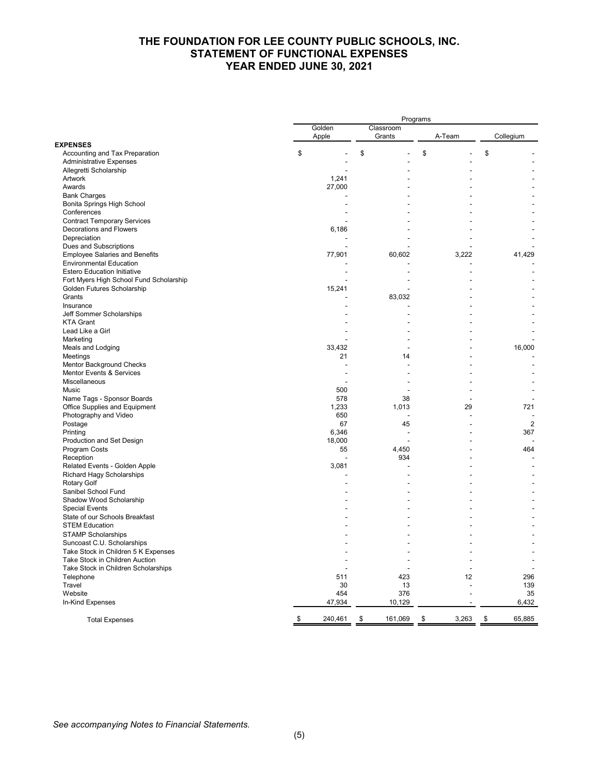# **THE FOUNDATION FOR LEE COUNTY PUBLIC SCHOOLS, INC. STATEMENT OF FUNCTIONAL EXPENSES YEAR ENDED JUNE 30, 2021**

|                                                   |               | Programs      |             |              |  |
|---------------------------------------------------|---------------|---------------|-------------|--------------|--|
|                                                   | Golden        | Classroom     |             |              |  |
|                                                   | Apple         | Grants        | A-Team      | Collegium    |  |
| <b>EXPENSES</b><br>Accounting and Tax Preparation | \$            | \$            | \$          | \$           |  |
| <b>Administrative Expenses</b>                    |               |               |             |              |  |
| Allegretti Scholarship                            |               |               |             |              |  |
| Artwork                                           | 1,241         |               |             |              |  |
|                                                   | 27,000        |               |             |              |  |
| Awards                                            |               |               |             |              |  |
| <b>Bank Charges</b>                               |               |               |             |              |  |
| Bonita Springs High School                        |               |               |             |              |  |
| Conferences                                       |               |               |             |              |  |
| <b>Contract Temporary Services</b>                |               |               |             |              |  |
| Decorations and Flowers                           | 6,186         |               |             |              |  |
| Depreciation                                      |               |               |             |              |  |
| Dues and Subscriptions                            |               |               |             |              |  |
| <b>Employee Salaries and Benefits</b>             | 77,901        | 60,602        | 3,222       | 41,429       |  |
| <b>Environmental Education</b>                    |               |               |             |              |  |
| <b>Estero Education Initiative</b>                |               |               |             |              |  |
| Fort Myers High School Fund Scholarship           |               |               |             |              |  |
| Golden Futures Scholarship                        | 15,241        |               |             |              |  |
| Grants                                            |               | 83,032        |             |              |  |
| Insurance                                         |               |               |             |              |  |
| Jeff Sommer Scholarships                          |               |               |             |              |  |
| <b>KTA Grant</b>                                  |               |               |             |              |  |
| Lead Like a Girl                                  |               |               |             |              |  |
| Marketing                                         |               |               |             |              |  |
| Meals and Lodging                                 | 33,432        |               |             | 16,000       |  |
| Meetings                                          | 21            | 14            |             |              |  |
| Mentor Background Checks                          |               |               |             |              |  |
| Mentor Events & Services                          |               |               |             |              |  |
| Miscellaneous                                     |               |               |             |              |  |
| Music                                             | 500           |               |             |              |  |
| Name Tags - Sponsor Boards                        | 578           | 38            |             |              |  |
| Office Supplies and Equipment                     | 1,233         | 1,013         | 29          | 721          |  |
| Photography and Video                             | 650           |               |             |              |  |
| Postage                                           | 67            | 45            |             | 2            |  |
| Printing                                          | 6,346         |               |             | 367          |  |
| Production and Set Design                         | 18,000        |               |             |              |  |
| Program Costs                                     | 55            | 4,450         |             | 464          |  |
| Reception                                         |               | 934           |             |              |  |
| Related Events - Golden Apple                     | 3,081         |               |             |              |  |
| <b>Richard Hagy Scholarships</b>                  |               |               |             |              |  |
| Rotary Golf                                       |               |               |             |              |  |
| Sanibel School Fund                               |               |               |             |              |  |
| Shadow Wood Scholarship                           |               |               |             |              |  |
| <b>Special Events</b>                             |               |               |             |              |  |
| State of our Schools Breakfast                    |               |               |             |              |  |
| <b>STEM Education</b>                             |               |               |             |              |  |
| <b>STAMP Scholarships</b>                         |               |               |             |              |  |
| Suncoast C.U. Scholarships                        |               |               |             |              |  |
| Take Stock in Children 5 K Expenses               |               |               |             |              |  |
|                                                   |               |               |             |              |  |
| Take Stock in Children Auction                    |               |               |             |              |  |
| Take Stock in Children Scholarships               |               |               |             |              |  |
| Telephone                                         | 511           | 423           | 12          | 296          |  |
| Travel                                            | 30            | 13            |             | 139          |  |
| Website                                           | 454           | 376           |             | 35           |  |
| In-Kind Expenses                                  | 47,934        | 10,129        |             | 6,432        |  |
| <b>Total Expenses</b>                             | \$<br>240,461 | \$<br>161,069 | 3,263<br>\$ | \$<br>65,885 |  |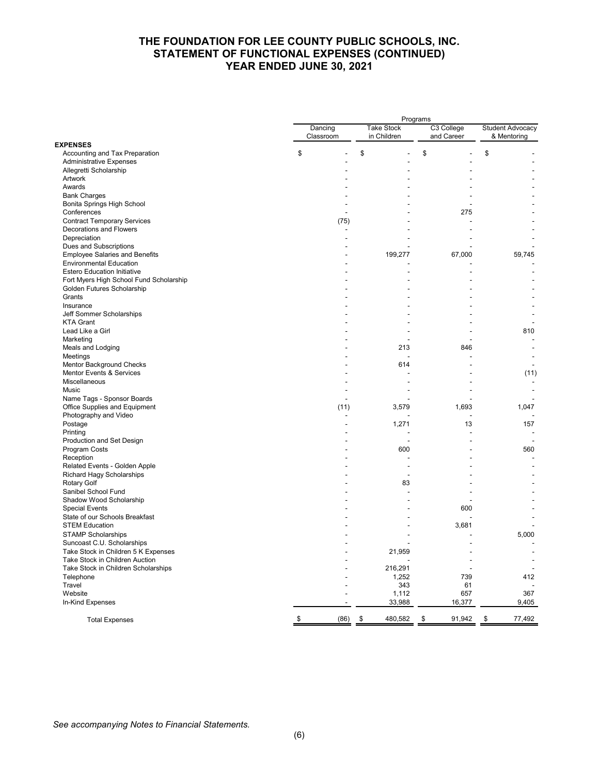# **THE FOUNDATION FOR LEE COUNTY PUBLIC SCHOOLS, INC. STATEMENT OF FUNCTIONAL EXPENSES (CONTINUED) YEAR ENDED JUNE 30, 2021**

|                                          |            | Programs          |              |                         |  |
|------------------------------------------|------------|-------------------|--------------|-------------------------|--|
|                                          | Dancing    | <b>Take Stock</b> | C3 College   | <b>Student Advocacy</b> |  |
|                                          | Classroom  | in Children       | and Career   | & Mentoring             |  |
| <b>EXPENSES</b>                          |            |                   |              |                         |  |
| Accounting and Tax Preparation           | \$         | \$                | \$           | \$                      |  |
| <b>Administrative Expenses</b>           |            |                   |              |                         |  |
| Allegretti Scholarship                   |            |                   |              |                         |  |
| Artwork                                  |            |                   |              |                         |  |
| Awards                                   |            |                   |              |                         |  |
| <b>Bank Charges</b>                      |            |                   |              |                         |  |
| Bonita Springs High School               |            |                   |              |                         |  |
| Conferences                              |            |                   | 275          |                         |  |
| <b>Contract Temporary Services</b>       | (75)       |                   |              |                         |  |
| Decorations and Flowers                  |            |                   |              |                         |  |
| Depreciation                             |            |                   |              |                         |  |
| Dues and Subscriptions                   |            |                   |              |                         |  |
| <b>Employee Salaries and Benefits</b>    |            | 199,277           | 67,000       | 59,745                  |  |
| <b>Environmental Education</b>           |            |                   |              |                         |  |
| <b>Estero Education Initiative</b>       |            |                   |              |                         |  |
| Fort Myers High School Fund Scholarship  |            |                   |              |                         |  |
| Golden Futures Scholarship               |            |                   |              |                         |  |
| Grants                                   |            |                   |              |                         |  |
| Insurance                                |            |                   |              |                         |  |
| Jeff Sommer Scholarships                 |            |                   |              |                         |  |
| <b>KTA Grant</b>                         |            |                   |              |                         |  |
| Lead Like a Girl                         |            |                   |              | 810                     |  |
| Marketing                                |            |                   |              |                         |  |
| Meals and Lodging                        |            | 213               | 846          |                         |  |
| Meetings                                 |            |                   |              |                         |  |
| Mentor Background Checks                 |            | 614               |              |                         |  |
| <b>Mentor Events &amp; Services</b>      |            |                   |              | (11)                    |  |
| Miscellaneous                            |            |                   |              |                         |  |
| Music                                    |            |                   |              |                         |  |
| Name Tags - Sponsor Boards               |            |                   |              |                         |  |
| Office Supplies and Equipment            | (11)       | 3,579             | 1.693        | 1,047                   |  |
| Photography and Video                    |            |                   |              |                         |  |
| Postage                                  |            | 1,271             | 13           | 157                     |  |
| Printing                                 |            |                   |              |                         |  |
| Production and Set Design                |            |                   |              |                         |  |
| Program Costs                            |            | 600               |              | 560                     |  |
| Reception                                |            |                   |              |                         |  |
| Related Events - Golden Apple            |            |                   |              |                         |  |
|                                          |            |                   |              |                         |  |
| Richard Hagy Scholarships<br>Rotary Golf |            | 83                |              |                         |  |
|                                          |            |                   |              |                         |  |
| Sanibel School Fund                      |            |                   |              |                         |  |
| Shadow Wood Scholarship                  |            |                   | 600          |                         |  |
| <b>Special Events</b>                    |            |                   |              |                         |  |
| State of our Schools Breakfast           |            |                   |              |                         |  |
| <b>STEM Education</b>                    |            |                   | 3,681        |                         |  |
| <b>STAMP Scholarships</b>                |            |                   |              | 5,000                   |  |
| Suncoast C.U. Scholarships               |            |                   |              |                         |  |
| Take Stock in Children 5 K Expenses      |            | 21,959            |              |                         |  |
| Take Stock in Children Auction           |            |                   |              |                         |  |
| Take Stock in Children Scholarships      |            | 216,291           |              |                         |  |
| Telephone                                |            | 1,252             | 739          | 412                     |  |
| Travel                                   |            | 343               | 61           |                         |  |
| Website                                  |            | 1,112             | 657          | 367                     |  |
| In-Kind Expenses                         |            | 33,988            | 16,377       | 9,405                   |  |
| <b>Total Expenses</b>                    | (86)<br>\$ | \$<br>480,582     | 91,942<br>\$ | \$<br>77,492            |  |
|                                          |            |                   |              |                         |  |

*See accompanying Notes to Financial Statements.*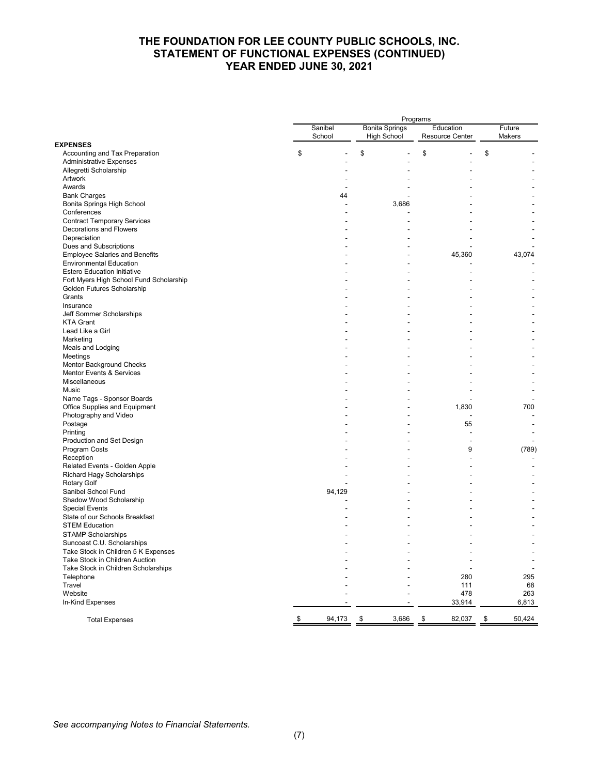# **THE FOUNDATION FOR LEE COUNTY PUBLIC SCHOOLS, INC. STATEMENT OF FUNCTIONAL EXPENSES (CONTINUED) YEAR ENDED JUNE 30, 2021**

|                                         |              | Programs              |                 |              |  |  |
|-----------------------------------------|--------------|-----------------------|-----------------|--------------|--|--|
|                                         | Sanibel      | <b>Bonita Springs</b> | Education       | Future       |  |  |
|                                         | School       | <b>High School</b>    | Resource Center | Makers       |  |  |
| <b>EXPENSES</b>                         |              |                       |                 |              |  |  |
| Accounting and Tax Preparation          | \$           | \$                    | \$              | \$           |  |  |
| <b>Administrative Expenses</b>          |              |                       |                 |              |  |  |
| Allegretti Scholarship                  |              |                       |                 |              |  |  |
| Artwork                                 |              |                       |                 |              |  |  |
| Awards                                  |              |                       |                 |              |  |  |
| <b>Bank Charges</b>                     | 44           |                       |                 |              |  |  |
| Bonita Springs High School              |              | 3.686                 |                 |              |  |  |
| Conferences                             |              |                       |                 |              |  |  |
| <b>Contract Temporary Services</b>      |              |                       |                 |              |  |  |
| Decorations and Flowers                 |              |                       |                 |              |  |  |
| Depreciation                            |              |                       |                 |              |  |  |
| Dues and Subscriptions                  |              |                       |                 |              |  |  |
| <b>Employee Salaries and Benefits</b>   |              |                       | 45,360          | 43,074       |  |  |
| <b>Environmental Education</b>          |              |                       |                 |              |  |  |
| <b>Estero Education Initiative</b>      |              |                       |                 |              |  |  |
| Fort Myers High School Fund Scholarship |              |                       |                 |              |  |  |
| Golden Futures Scholarship              |              |                       |                 |              |  |  |
| Grants                                  |              |                       |                 |              |  |  |
| Insurance                               |              |                       |                 |              |  |  |
|                                         |              |                       |                 |              |  |  |
| Jeff Sommer Scholarships                |              |                       |                 |              |  |  |
| <b>KTA Grant</b>                        |              |                       |                 |              |  |  |
| Lead Like a Girl                        |              |                       |                 |              |  |  |
| Marketing                               |              |                       |                 |              |  |  |
| Meals and Lodging                       |              |                       |                 |              |  |  |
| Meetings                                |              |                       |                 |              |  |  |
| Mentor Background Checks                |              |                       |                 |              |  |  |
| Mentor Events & Services                |              |                       |                 |              |  |  |
| Miscellaneous                           |              |                       |                 |              |  |  |
| Music                                   |              |                       |                 |              |  |  |
| Name Tags - Sponsor Boards              |              |                       |                 |              |  |  |
| Office Supplies and Equipment           |              |                       | 1,830           | 700          |  |  |
| Photography and Video                   |              |                       |                 |              |  |  |
| Postage                                 |              |                       | 55              |              |  |  |
| Printing                                |              |                       |                 |              |  |  |
| Production and Set Design               |              |                       |                 |              |  |  |
| Program Costs                           |              |                       | 9               | (789)        |  |  |
| Reception                               |              |                       |                 |              |  |  |
| Related Events - Golden Apple           |              |                       |                 |              |  |  |
| Richard Hagy Scholarships               |              |                       |                 |              |  |  |
| Rotary Golf                             |              |                       |                 |              |  |  |
| Sanibel School Fund                     | 94,129       |                       |                 |              |  |  |
| Shadow Wood Scholarship                 |              |                       |                 |              |  |  |
| <b>Special Events</b>                   |              |                       |                 |              |  |  |
| State of our Schools Breakfast          |              |                       |                 |              |  |  |
| <b>STEM Education</b>                   |              |                       |                 |              |  |  |
| <b>STAMP Scholarships</b>               |              |                       |                 |              |  |  |
| Suncoast C.U. Scholarships              |              |                       |                 |              |  |  |
| Take Stock in Children 5 K Expenses     |              |                       |                 |              |  |  |
| Take Stock in Children Auction          |              |                       |                 |              |  |  |
|                                         |              |                       |                 |              |  |  |
| Take Stock in Children Scholarships     |              |                       |                 |              |  |  |
| Telephone                               |              |                       | 280             | 295          |  |  |
| Travel                                  |              |                       | 111             | 68           |  |  |
| Website                                 |              |                       | 478             | 263          |  |  |
| In-Kind Expenses                        |              |                       | 33,914          | 6,813        |  |  |
| <b>Total Expenses</b>                   | \$<br>94,173 | 3,686<br>\$           | 82,037<br>\$    | \$<br>50,424 |  |  |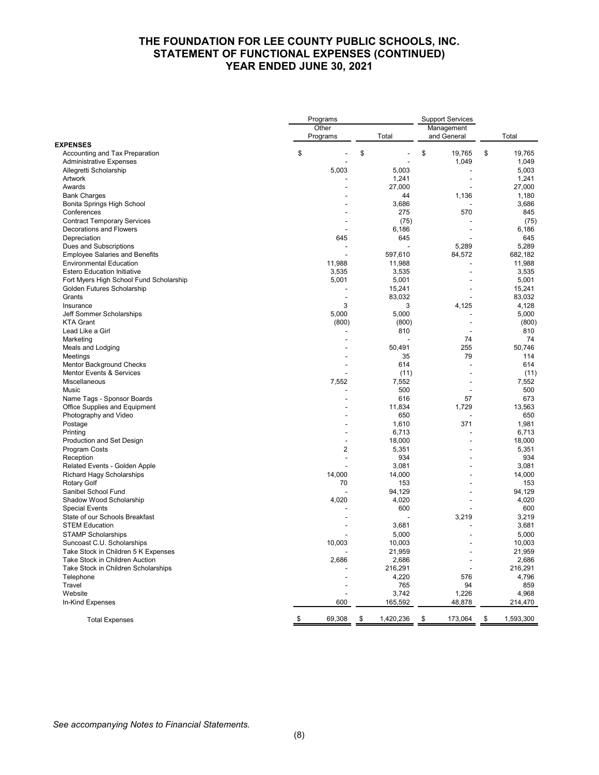# **THE FOUNDATION FOR LEE COUNTY PUBLIC SCHOOLS, INC. STATEMENT OF FUNCTIONAL EXPENSES (CONTINUED) YEAR ENDED JUNE 30, 2021**

|                                         | Programs |                | <b>Support Services</b> |    |             |    |           |  |
|-----------------------------------------|----------|----------------|-------------------------|----|-------------|----|-----------|--|
|                                         | Other    |                |                         |    | Management  |    |           |  |
|                                         | Programs |                | Total                   |    | and General |    | Total     |  |
| <b>EXPENSES</b>                         |          |                |                         |    |             |    |           |  |
| Accounting and Tax Preparation          | \$       |                | \$<br>L,                | \$ | 19,765      | \$ | 19.765    |  |
| <b>Administrative Expenses</b>          |          |                |                         |    | 1,049       |    | 1,049     |  |
| Allegretti Scholarship                  |          | 5,003          | 5,003                   |    | ٠           |    | 5,003     |  |
| Artwork                                 |          |                | 1,241                   |    |             |    | 1,241     |  |
| Awards                                  |          |                | 27,000                  |    |             |    | 27,000    |  |
| <b>Bank Charges</b>                     |          |                | 44                      |    | 1,136       |    | 1,180     |  |
| Bonita Springs High School              |          |                | 3,686                   |    |             |    | 3,686     |  |
| Conferences                             |          |                | 275                     |    | 570         |    | 845       |  |
| <b>Contract Temporary Services</b>      |          |                | (75)                    |    |             |    | (75)      |  |
| Decorations and Flowers                 |          |                | 6,186                   |    |             |    | 6,186     |  |
| Depreciation                            |          | 645            | 645                     |    |             |    | 645       |  |
|                                         |          |                |                         |    |             |    |           |  |
| Dues and Subscriptions                  |          |                |                         |    | 5,289       |    | 5,289     |  |
| <b>Employee Salaries and Benefits</b>   |          |                | 597,610                 |    | 84,572      |    | 682,182   |  |
| <b>Environmental Education</b>          |          | 11,988         | 11,988                  |    |             |    | 11,988    |  |
| <b>Estero Education Initiative</b>      |          | 3,535          | 3,535                   |    |             |    | 3,535     |  |
| Fort Myers High School Fund Scholarship |          | 5,001          | 5,001                   |    |             |    | 5,001     |  |
| Golden Futures Scholarship              |          |                | 15,241                  |    |             |    | 15,241    |  |
| Grants                                  |          | $\overline{a}$ | 83,032                  |    |             |    | 83,032    |  |
| Insurance                               |          | 3              | 3                       |    | 4,125       |    | 4,128     |  |
| Jeff Sommer Scholarships                |          | 5,000          | 5,000                   |    |             |    | 5,000     |  |
| <b>KTA Grant</b>                        |          | (800)          | (800)                   |    |             |    | (800)     |  |
| Lead Like a Girl                        |          |                | 810                     |    |             |    | 810       |  |
| Marketing                               |          |                |                         |    | 74          |    | 74        |  |
| Meals and Lodging                       |          |                | 50,491                  |    | 255         |    | 50,746    |  |
| Meetings                                |          |                | 35                      |    | 79          |    | 114       |  |
| Mentor Background Checks                |          |                | 614                     |    |             |    | 614       |  |
| <b>Mentor Events &amp; Services</b>     |          |                | (11)                    |    |             |    | (11)      |  |
| Miscellaneous                           |          | 7,552          | 7,552                   |    |             |    | 7,552     |  |
| Music                                   |          |                | 500                     |    |             |    | 500       |  |
| Name Tags - Sponsor Boards              |          |                | 616                     |    | 57          |    | 673       |  |
| Office Supplies and Equipment           |          |                | 11,834                  |    | 1,729       |    | 13,563    |  |
|                                         |          |                | 650                     |    |             |    | 650       |  |
| Photography and Video                   |          |                |                         |    |             |    |           |  |
| Postage                                 |          |                | 1,610                   |    | 371         |    | 1,981     |  |
| Printing                                |          | $\overline{a}$ | 6,713                   |    |             |    | 6,713     |  |
| Production and Set Design               |          | $\overline{a}$ | 18,000                  |    |             |    | 18,000    |  |
| <b>Program Costs</b>                    |          | $\overline{c}$ | 5,351                   |    |             |    | 5,351     |  |
| Reception                               |          | $\overline{a}$ | 934                     |    |             |    | 934       |  |
| Related Events - Golden Apple           |          |                | 3,081                   |    |             |    | 3,081     |  |
| Richard Hagy Scholarships               |          | 14,000         | 14,000                  |    |             |    | 14,000    |  |
| <b>Rotary Golf</b>                      |          | 70             | 153                     |    |             |    | 153       |  |
| Sanibel School Fund                     |          |                | 94,129                  |    |             |    | 94,129    |  |
| Shadow Wood Scholarship                 |          | 4,020          | 4,020                   |    |             |    | 4,020     |  |
| <b>Special Events</b>                   |          |                | 600                     |    |             |    | 600       |  |
| State of our Schools Breakfast          |          |                |                         |    | 3,219       |    | 3,219     |  |
| <b>STEM Education</b>                   |          |                | 3,681                   |    |             |    | 3,681     |  |
| <b>STAMP Scholarships</b>               |          |                | 5,000                   |    |             |    | 5.000     |  |
| Suncoast C.U. Scholarships              |          | 10,003         | 10,003                  |    |             |    | 10,003    |  |
| Take Stock in Children 5 K Expenses     |          |                | 21,959                  |    |             |    | 21,959    |  |
|                                         |          |                |                         |    |             |    |           |  |
| Take Stock in Children Auction          |          | 2,686          | 2,686                   |    |             |    | 2,686     |  |
| Take Stock in Children Scholarships     |          |                | 216,291                 |    |             |    | 216,291   |  |
| Telephone                               |          |                | 4,220                   |    | 576         |    | 4,796     |  |
| Travel                                  |          |                | 765                     |    | 94          |    | 859       |  |
| Website                                 |          |                | 3,742                   |    | 1,226       |    | 4,968     |  |
| In-Kind Expenses                        |          | 600            | 165,592                 |    | 48,878      |    | 214,470   |  |
| <b>Total Expenses</b>                   | \$       | 69,308         | \$<br>1,420,236         | \$ | 173,064     | \$ | 1,593,300 |  |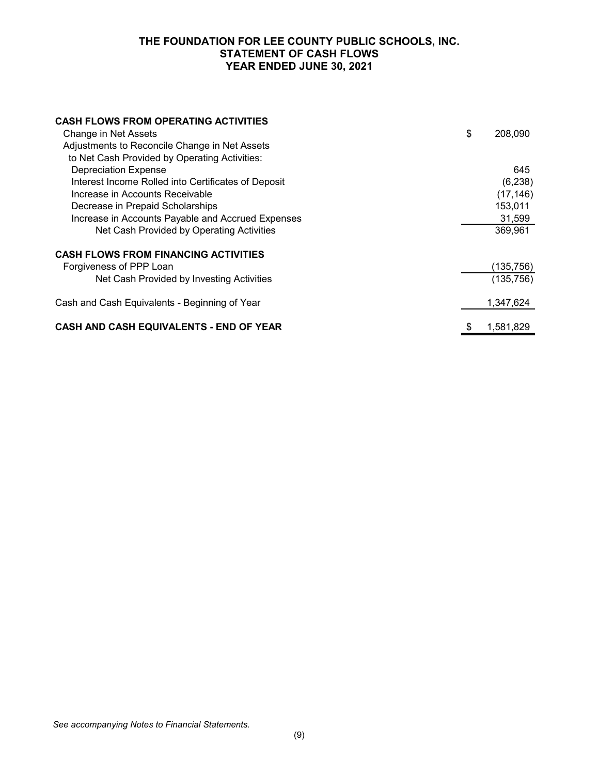# **THE FOUNDATION FOR LEE COUNTY PUBLIC SCHOOLS, INC. STATEMENT OF CASH FLOWS YEAR ENDED JUNE 30, 2021**

# **CASH FLOWS FROM OPERATING ACTIVITIES**

| Change in Net Assets                                | \$<br>208,090   |
|-----------------------------------------------------|-----------------|
| Adjustments to Reconcile Change in Net Assets       |                 |
| to Net Cash Provided by Operating Activities:       |                 |
| <b>Depreciation Expense</b>                         | 645             |
| Interest Income Rolled into Certificates of Deposit | (6, 238)        |
| Increase in Accounts Receivable                     | (17, 146)       |
| Decrease in Prepaid Scholarships                    | 153,011         |
| Increase in Accounts Payable and Accrued Expenses   | 31,599          |
| Net Cash Provided by Operating Activities           | 369,961         |
| <b>CASH FLOWS FROM FINANCING ACTIVITIES</b>         |                 |
| Forgiveness of PPP Loan                             | (135,756)       |
| Net Cash Provided by Investing Activities           | (135, 756)      |
| Cash and Cash Equivalents - Beginning of Year       | 1,347,624       |
| <b>CASH AND CASH EQUIVALENTS - END OF YEAR</b>      | \$<br>1,581,829 |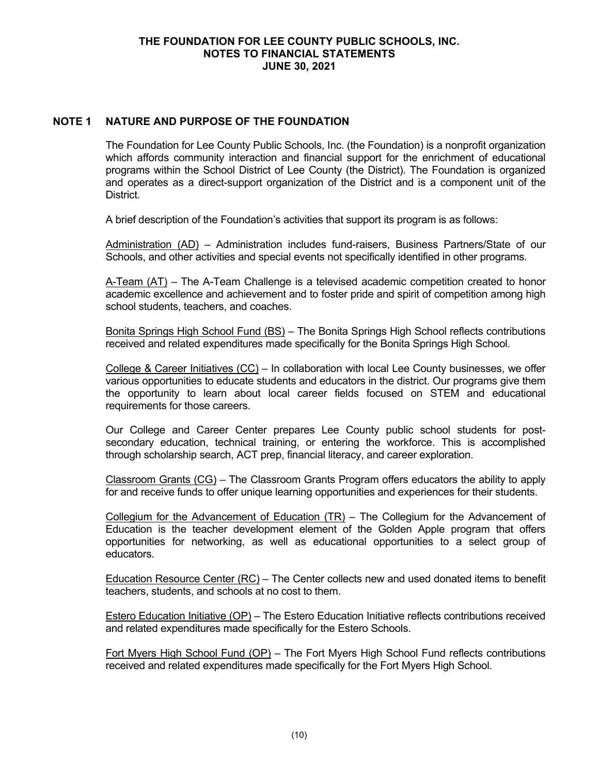# **NOTE 1 NATURE AND PURPOSE OF THE FOUNDATION**

The Foundation for Lee County Public Schools, Inc. (the Foundation) is a nonprofit organization which affords community interaction and financial support for the enrichment of educational programs within the School District of Lee County (the District). The Foundation is organized and operates as a direct-support organization of the District and is a component unit of the District.

A brief description of the Foundation's activities that support its program is as follows:

Administration (AD) – Administration includes fund-raisers, Business Partners/State of our Schools, and other activities and special events not specifically identified in other programs.

A-Team (AT) – The A-Team Challenge is a televised academic competition created to honor academic excellence and achievement and to foster pride and spirit of competition among high school students, teachers, and coaches.

Bonita Springs High School Fund (BS) – The Bonita Springs High School reflects contributions received and related expenditures made specifically for the Bonita Springs High School.

College & Career Initiatives (CC) – In collaboration with local Lee County businesses, we offer various opportunities to educate students and educators in the district. Our programs give them the opportunity to learn about local career fields focused on STEM and educational requirements for those careers.

Our College and Career Center prepares Lee County public school students for postsecondary education, technical training, or entering the workforce. This is accomplished through scholarship search, ACT prep, financial literacy, and career exploration.

Classroom Grants (CG) – The Classroom Grants Program offers educators the ability to apply for and receive funds to offer unique learning opportunities and experiences for their students.

Collegium for the Advancement of Education  $(TR)$  – The Collegium for the Advancement of Education is the teacher development element of the Golden Apple program that offers opportunities for networking, as well as educational opportunities to a select group of educators.

Education Resource Center (RC) – The Center collects new and used donated items to benefit teachers, students, and schools at no cost to them.

Estero Education Initiative (OP) – The Estero Education Initiative reflects contributions received and related expenditures made specifically for the Estero Schools.

Fort Myers High School Fund (OP) – The Fort Myers High School Fund reflects contributions received and related expenditures made specifically for the Fort Myers High School.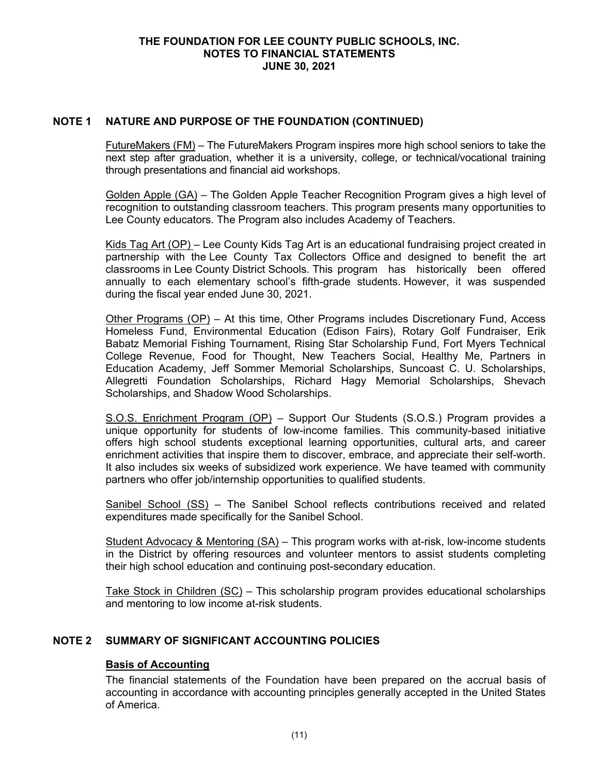## **NOTE 1 NATURE AND PURPOSE OF THE FOUNDATION (CONTINUED)**

FutureMakers (FM) – The FutureMakers Program inspires more high school seniors to take the next step after graduation, whether it is a university, college, or technical/vocational training through presentations and financial aid workshops.

Golden Apple (GA) – The Golden Apple Teacher Recognition Program gives a high level of recognition to outstanding classroom teachers. This program presents many opportunities to Lee County educators. The Program also includes Academy of Teachers.

Kids Tag Art (OP) – Lee County Kids Tag Art is an educational fundraising project created in partnership with the Lee County Tax Collectors Office and designed to benefit the art classrooms in Lee County District Schools. This program has historically been offered annually to each elementary school's fifth-grade students. However, it was suspended during the fiscal year ended June 30, 2021.

Other Programs (OP) – At this time, Other Programs includes Discretionary Fund, Access Homeless Fund, Environmental Education (Edison Fairs), Rotary Golf Fundraiser, Erik Babatz Memorial Fishing Tournament, Rising Star Scholarship Fund, Fort Myers Technical College Revenue, Food for Thought, New Teachers Social, Healthy Me, Partners in Education Academy, Jeff Sommer Memorial Scholarships, Suncoast C. U. Scholarships, Allegretti Foundation Scholarships, Richard Hagy Memorial Scholarships, Shevach Scholarships, and Shadow Wood Scholarships.

S.O.S. Enrichment Program (OP) – Support Our Students (S.O.S.) Program provides a unique opportunity for students of low-income families. This community-based initiative offers high school students exceptional learning opportunities, cultural arts, and career enrichment activities that inspire them to discover, embrace, and appreciate their self-worth. It also includes six weeks of subsidized work experience. We have teamed with community partners who offer job/internship opportunities to qualified students.

Sanibel School (SS) – The Sanibel School reflects contributions received and related expenditures made specifically for the Sanibel School.

Student Advocacy & Mentoring (SA) – This program works with at-risk, low-income students in the District by offering resources and volunteer mentors to assist students completing their high school education and continuing post-secondary education.

Take Stock in Children (SC) – This scholarship program provides educational scholarships and mentoring to low income at-risk students.

#### **NOTE 2 SUMMARY OF SIGNIFICANT ACCOUNTING POLICIES**

#### **Basis of Accounting**

The financial statements of the Foundation have been prepared on the accrual basis of accounting in accordance with accounting principles generally accepted in the United States of America.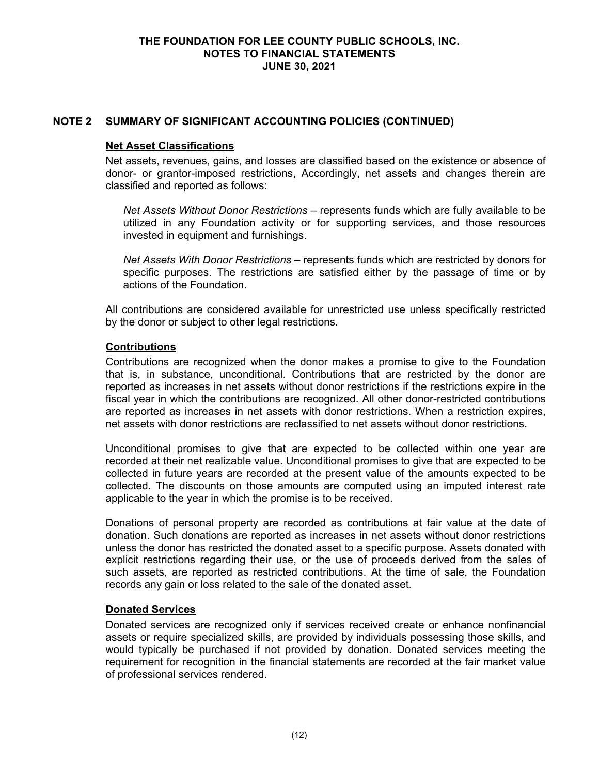#### **NOTE 2 SUMMARY OF SIGNIFICANT ACCOUNTING POLICIES (CONTINUED)**

#### **Net Asset Classifications**

Net assets, revenues, gains, and losses are classified based on the existence or absence of donor- or grantor-imposed restrictions, Accordingly, net assets and changes therein are classified and reported as follows:

*Net Assets Without Donor Restrictions* – represents funds which are fully available to be utilized in any Foundation activity or for supporting services, and those resources invested in equipment and furnishings.

*Net Assets With Donor Restrictions* – represents funds which are restricted by donors for specific purposes. The restrictions are satisfied either by the passage of time or by actions of the Foundation.

All contributions are considered available for unrestricted use unless specifically restricted by the donor or subject to other legal restrictions.

## **Contributions**

Contributions are recognized when the donor makes a promise to give to the Foundation that is, in substance, unconditional. Contributions that are restricted by the donor are reported as increases in net assets without donor restrictions if the restrictions expire in the fiscal year in which the contributions are recognized. All other donor-restricted contributions are reported as increases in net assets with donor restrictions. When a restriction expires, net assets with donor restrictions are reclassified to net assets without donor restrictions.

Unconditional promises to give that are expected to be collected within one year are recorded at their net realizable value. Unconditional promises to give that are expected to be collected in future years are recorded at the present value of the amounts expected to be collected. The discounts on those amounts are computed using an imputed interest rate applicable to the year in which the promise is to be received.

Donations of personal property are recorded as contributions at fair value at the date of donation. Such donations are reported as increases in net assets without donor restrictions unless the donor has restricted the donated asset to a specific purpose. Assets donated with explicit restrictions regarding their use, or the use of proceeds derived from the sales of such assets, are reported as restricted contributions. At the time of sale, the Foundation records any gain or loss related to the sale of the donated asset.

#### **Donated Services**

Donated services are recognized only if services received create or enhance nonfinancial assets or require specialized skills, are provided by individuals possessing those skills, and would typically be purchased if not provided by donation. Donated services meeting the requirement for recognition in the financial statements are recorded at the fair market value of professional services rendered.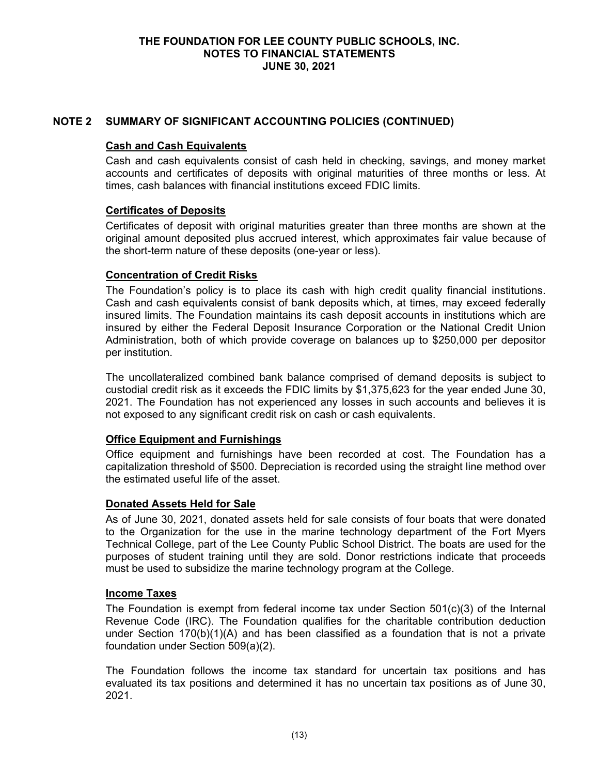# **NOTE 2 SUMMARY OF SIGNIFICANT ACCOUNTING POLICIES (CONTINUED)**

#### **Cash and Cash Equivalents**

Cash and cash equivalents consist of cash held in checking, savings, and money market accounts and certificates of deposits with original maturities of three months or less. At times, cash balances with financial institutions exceed FDIC limits.

## **Certificates of Deposits**

Certificates of deposit with original maturities greater than three months are shown at the original amount deposited plus accrued interest, which approximates fair value because of the short-term nature of these deposits (one-year or less).

## **Concentration of Credit Risks**

The Foundation's policy is to place its cash with high credit quality financial institutions. Cash and cash equivalents consist of bank deposits which, at times, may exceed federally insured limits. The Foundation maintains its cash deposit accounts in institutions which are insured by either the Federal Deposit Insurance Corporation or the National Credit Union Administration, both of which provide coverage on balances up to \$250,000 per depositor per institution.

The uncollateralized combined bank balance comprised of demand deposits is subject to custodial credit risk as it exceeds the FDIC limits by \$1,375,623 for the year ended June 30, 2021. The Foundation has not experienced any losses in such accounts and believes it is not exposed to any significant credit risk on cash or cash equivalents.

# **Office Equipment and Furnishings**

Office equipment and furnishings have been recorded at cost. The Foundation has a capitalization threshold of \$500. Depreciation is recorded using the straight line method over the estimated useful life of the asset.

#### **Donated Assets Held for Sale**

As of June 30, 2021, donated assets held for sale consists of four boats that were donated to the Organization for the use in the marine technology department of the Fort Myers Technical College, part of the Lee County Public School District. The boats are used for the purposes of student training until they are sold. Donor restrictions indicate that proceeds must be used to subsidize the marine technology program at the College.

#### **Income Taxes**

The Foundation is exempt from federal income tax under Section  $501(c)(3)$  of the Internal Revenue Code (IRC). The Foundation qualifies for the charitable contribution deduction under Section 170(b)(1)(A) and has been classified as a foundation that is not a private foundation under Section 509(a)(2).

The Foundation follows the income tax standard for uncertain tax positions and has evaluated its tax positions and determined it has no uncertain tax positions as of June 30, 2021.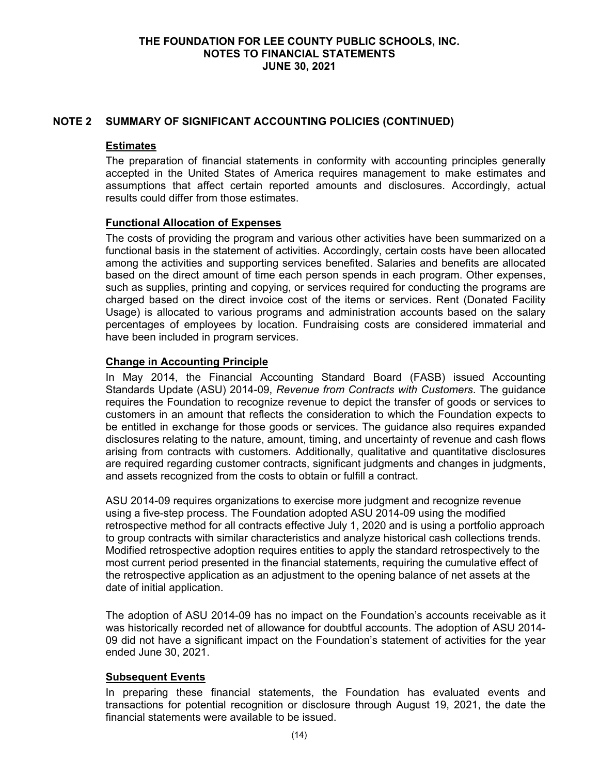# **NOTE 2 SUMMARY OF SIGNIFICANT ACCOUNTING POLICIES (CONTINUED)**

## **Estimates**

The preparation of financial statements in conformity with accounting principles generally accepted in the United States of America requires management to make estimates and assumptions that affect certain reported amounts and disclosures. Accordingly, actual results could differ from those estimates.

#### **Functional Allocation of Expenses**

The costs of providing the program and various other activities have been summarized on a functional basis in the statement of activities. Accordingly, certain costs have been allocated among the activities and supporting services benefited. Salaries and benefits are allocated based on the direct amount of time each person spends in each program. Other expenses, such as supplies, printing and copying, or services required for conducting the programs are charged based on the direct invoice cost of the items or services. Rent (Donated Facility Usage) is allocated to various programs and administration accounts based on the salary percentages of employees by location. Fundraising costs are considered immaterial and have been included in program services.

## **Change in Accounting Principle**

In May 2014, the Financial Accounting Standard Board (FASB) issued Accounting Standards Update (ASU) 2014-09, *Revenue from Contracts with Customers*. The guidance requires the Foundation to recognize revenue to depict the transfer of goods or services to customers in an amount that reflects the consideration to which the Foundation expects to be entitled in exchange for those goods or services. The guidance also requires expanded disclosures relating to the nature, amount, timing, and uncertainty of revenue and cash flows arising from contracts with customers. Additionally, qualitative and quantitative disclosures are required regarding customer contracts, significant judgments and changes in judgments, and assets recognized from the costs to obtain or fulfill a contract.

ASU 2014-09 requires organizations to exercise more judgment and recognize revenue using a five-step process. The Foundation adopted ASU 2014-09 using the modified retrospective method for all contracts effective July 1, 2020 and is using a portfolio approach to group contracts with similar characteristics and analyze historical cash collections trends. Modified retrospective adoption requires entities to apply the standard retrospectively to the most current period presented in the financial statements, requiring the cumulative effect of the retrospective application as an adjustment to the opening balance of net assets at the date of initial application.

The adoption of ASU 2014-09 has no impact on the Foundation's accounts receivable as it was historically recorded net of allowance for doubtful accounts. The adoption of ASU 2014- 09 did not have a significant impact on the Foundation's statement of activities for the year ended June 30, 2021.

#### **Subsequent Events**

In preparing these financial statements, the Foundation has evaluated events and transactions for potential recognition or disclosure through August 19, 2021, the date the financial statements were available to be issued.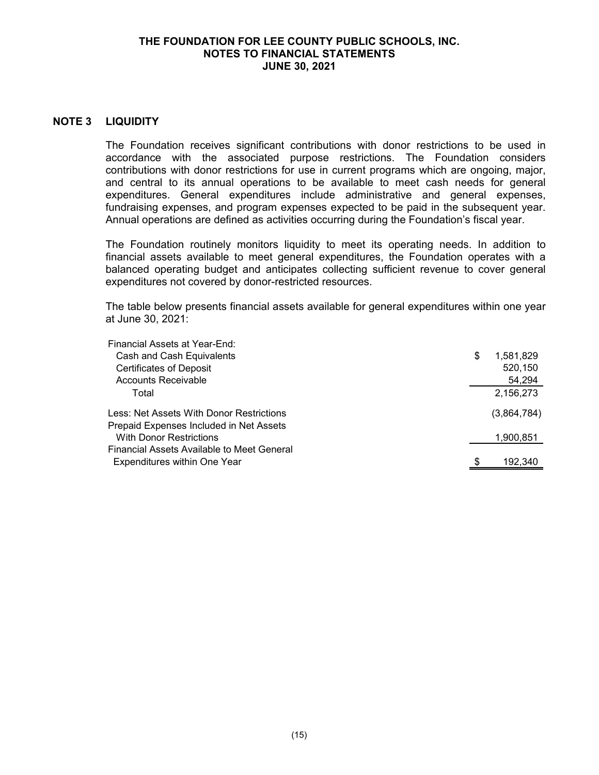#### **NOTE 3 LIQUIDITY**

The Foundation receives significant contributions with donor restrictions to be used in accordance with the associated purpose restrictions. The Foundation considers contributions with donor restrictions for use in current programs which are ongoing, major, and central to its annual operations to be available to meet cash needs for general expenditures. General expenditures include administrative and general expenses, fundraising expenses, and program expenses expected to be paid in the subsequent year. Annual operations are defined as activities occurring during the Foundation's fiscal year.

The Foundation routinely monitors liquidity to meet its operating needs. In addition to financial assets available to meet general expenditures, the Foundation operates with a balanced operating budget and anticipates collecting sufficient revenue to cover general expenditures not covered by donor-restricted resources.

The table below presents financial assets available for general expenditures within one year at June 30, 2021:

| Financial Assets at Year-End:              |   |             |
|--------------------------------------------|---|-------------|
| Cash and Cash Equivalents                  | S | 1,581,829   |
| <b>Certificates of Deposit</b>             |   | 520,150     |
| <b>Accounts Receivable</b>                 |   | 54,294      |
| Total                                      |   | 2,156,273   |
| Less: Net Assets With Donor Restrictions   |   | (3,864,784) |
| Prepaid Expenses Included in Net Assets    |   |             |
| <b>With Donor Restrictions</b>             |   | 1,900,851   |
| Financial Assets Available to Meet General |   |             |
| <b>Expenditures within One Year</b>        |   | 192.340     |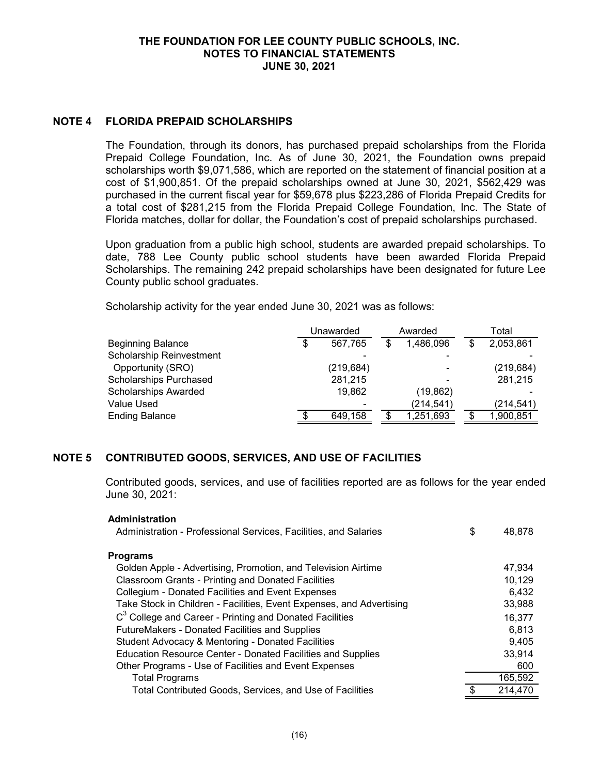#### **NOTE 4 FLORIDA PREPAID SCHOLARSHIPS**

The Foundation, through its donors, has purchased prepaid scholarships from the Florida Prepaid College Foundation, Inc. As of June 30, 2021, the Foundation owns prepaid scholarships worth \$9,071,586, which are reported on the statement of financial position at a cost of \$1,900,851. Of the prepaid scholarships owned at June 30, 2021, \$562,429 was purchased in the current fiscal year for \$59,678 plus \$223,286 of Florida Prepaid Credits for a total cost of \$281,215 from the Florida Prepaid College Foundation, Inc. The State of Florida matches, dollar for dollar, the Foundation's cost of prepaid scholarships purchased.

Upon graduation from a public high school, students are awarded prepaid scholarships. To date, 788 Lee County public school students have been awarded Florida Prepaid Scholarships. The remaining 242 prepaid scholarships have been designated for future Lee County public school graduates.

Scholarship activity for the year ended June 30, 2021 was as follows:

|                |           |            |         | Total      |
|----------------|-----------|------------|---------|------------|
| \$<br>567.765  |           | 1,486,096  |         | 2,053,861  |
|                |           |            |         |            |
| (219, 684)     |           |            |         | (219, 684) |
| 281,215        |           |            |         | 281,215    |
| 19.862         |           | (19, 862)  |         |            |
| $\blacksquare$ |           | (214, 541) |         | (214, 541) |
| 649,158        | £.        | 1,251,693  |         | 1,900,851  |
|                | Unawarded |            | Awarded |            |

# **NOTE 5 CONTRIBUTED GOODS, SERVICES, AND USE OF FACILITIES**

Contributed goods, services, and use of facilities reported are as follows for the year ended June 30, 2021:

| <b>Administration</b>                                                |              |
|----------------------------------------------------------------------|--------------|
| Administration - Professional Services, Facilities, and Salaries     | \$<br>48.878 |
| <b>Programs</b>                                                      |              |
| Golden Apple - Advertising, Promotion, and Television Airtime        | 47.934       |
| <b>Classroom Grants - Printing and Donated Facilities</b>            | 10,129       |
| <b>Collegium - Donated Facilities and Event Expenses</b>             | 6,432        |
| Take Stock in Children - Facilities, Event Expenses, and Advertising | 33,988       |
| C <sup>3</sup> College and Career - Printing and Donated Facilities  | 16,377       |
| FutureMakers - Donated Facilities and Supplies                       | 6.813        |
| Student Advocacy & Mentoring - Donated Facilities                    | 9,405        |
| Education Resource Center - Donated Facilities and Supplies          | 33.914       |
| Other Programs - Use of Facilities and Event Expenses                | 600          |
| <b>Total Programs</b>                                                | 165,592      |
| Total Contributed Goods, Services, and Use of Facilities             | 214,470      |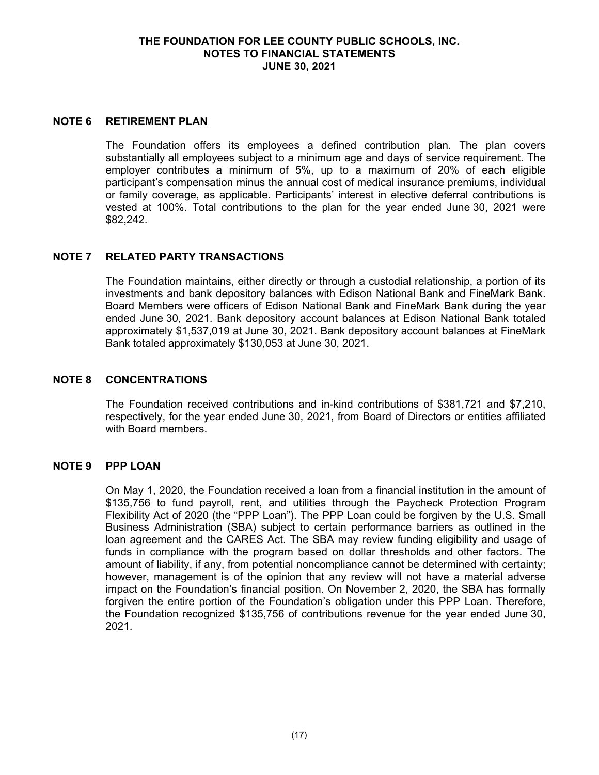#### **NOTE 6 RETIREMENT PLAN**

The Foundation offers its employees a defined contribution plan. The plan covers substantially all employees subject to a minimum age and days of service requirement. The employer contributes a minimum of 5%, up to a maximum of 20% of each eligible participant's compensation minus the annual cost of medical insurance premiums, individual or family coverage, as applicable. Participants' interest in elective deferral contributions is vested at 100%. Total contributions to the plan for the year ended June 30, 2021 were \$82,242.

#### **NOTE 7 RELATED PARTY TRANSACTIONS**

The Foundation maintains, either directly or through a custodial relationship, a portion of its investments and bank depository balances with Edison National Bank and FineMark Bank. Board Members were officers of Edison National Bank and FineMark Bank during the year ended June 30, 2021. Bank depository account balances at Edison National Bank totaled approximately \$1,537,019 at June 30, 2021. Bank depository account balances at FineMark Bank totaled approximately \$130,053 at June 30, 2021.

#### **NOTE 8 CONCENTRATIONS**

The Foundation received contributions and in-kind contributions of \$381,721 and \$7,210, respectively, for the year ended June 30, 2021, from Board of Directors or entities affiliated with Board members.

#### **NOTE 9 PPP LOAN**

On May 1, 2020, the Foundation received a loan from a financial institution in the amount of \$135,756 to fund payroll, rent, and utilities through the Paycheck Protection Program Flexibility Act of 2020 (the "PPP Loan"). The PPP Loan could be forgiven by the U.S. Small Business Administration (SBA) subject to certain performance barriers as outlined in the loan agreement and the CARES Act. The SBA may review funding eligibility and usage of funds in compliance with the program based on dollar thresholds and other factors. The amount of liability, if any, from potential noncompliance cannot be determined with certainty; however, management is of the opinion that any review will not have a material adverse impact on the Foundation's financial position. On November 2, 2020, the SBA has formally forgiven the entire portion of the Foundation's obligation under this PPP Loan. Therefore, the Foundation recognized \$135,756 of contributions revenue for the year ended June 30, 2021.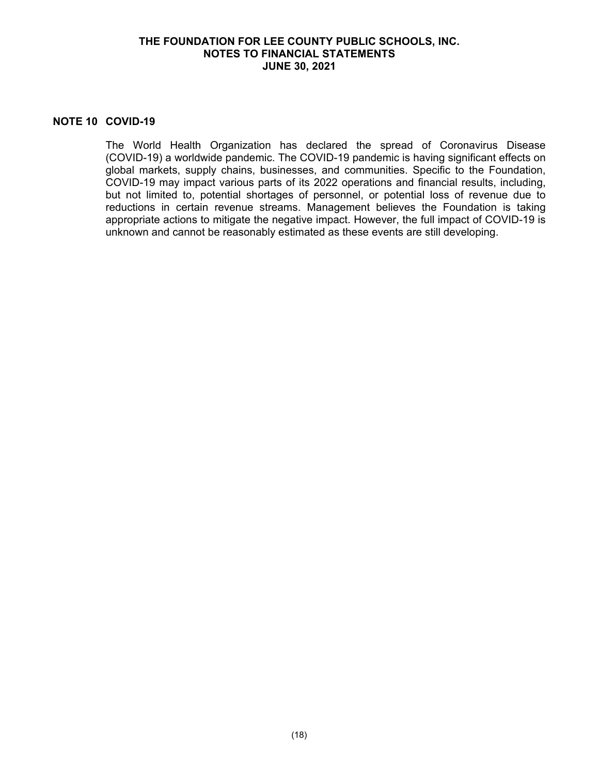#### **NOTE 10 COVID-19**

The World Health Organization has declared the spread of Coronavirus Disease (COVID-19) a worldwide pandemic. The COVID-19 pandemic is having significant effects on global markets, supply chains, businesses, and communities. Specific to the Foundation, COVID-19 may impact various parts of its 2022 operations and financial results, including, but not limited to, potential shortages of personnel, or potential loss of revenue due to reductions in certain revenue streams. Management believes the Foundation is taking appropriate actions to mitigate the negative impact. However, the full impact of COVID-19 is unknown and cannot be reasonably estimated as these events are still developing.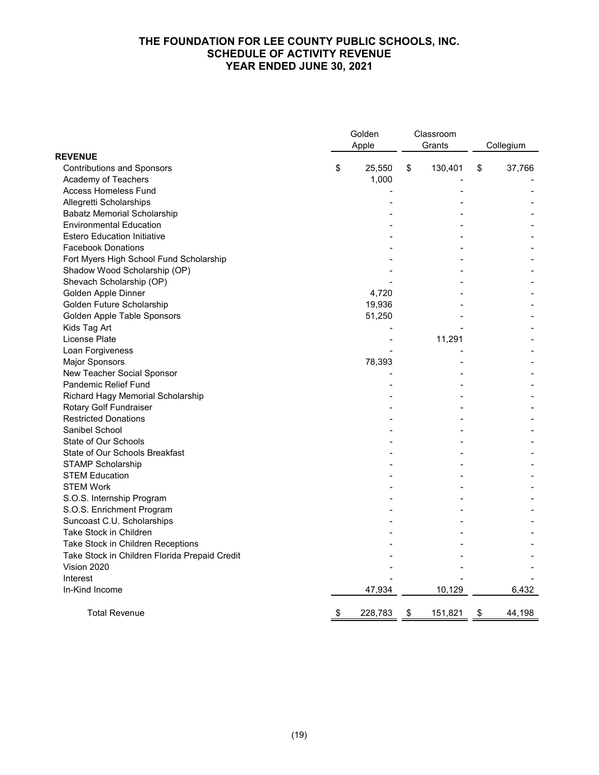# **THE FOUNDATION FOR LEE COUNTY PUBLIC SCHOOLS, INC. SCHEDULE OF ACTIVITY REVENUE YEAR ENDED JUNE 30, 2021**

|                                               | Golden<br>Apple | Classroom<br>Grants | Collegium    |  |
|-----------------------------------------------|-----------------|---------------------|--------------|--|
| <b>REVENUE</b>                                |                 |                     |              |  |
| <b>Contributions and Sponsors</b>             | \$<br>25,550    | 130,401<br>\$       | \$<br>37,766 |  |
| Academy of Teachers                           | 1,000           |                     |              |  |
| <b>Access Homeless Fund</b>                   |                 |                     |              |  |
| Allegretti Scholarships                       |                 |                     |              |  |
| <b>Babatz Memorial Scholarship</b>            |                 |                     |              |  |
| <b>Environmental Education</b>                |                 |                     |              |  |
| <b>Estero Education Initiative</b>            |                 |                     |              |  |
| <b>Facebook Donations</b>                     |                 |                     |              |  |
| Fort Myers High School Fund Scholarship       |                 |                     |              |  |
| Shadow Wood Scholarship (OP)                  |                 |                     |              |  |
| Shevach Scholarship (OP)                      |                 |                     |              |  |
| Golden Apple Dinner                           | 4,720           |                     |              |  |
| Golden Future Scholarship                     | 19,936          |                     |              |  |
| Golden Apple Table Sponsors                   | 51,250          |                     |              |  |
| Kids Tag Art                                  |                 |                     |              |  |
| License Plate                                 |                 | 11,291              |              |  |
| Loan Forgiveness                              |                 |                     |              |  |
| <b>Major Sponsors</b>                         | 78,393          |                     |              |  |
| New Teacher Social Sponsor                    |                 |                     |              |  |
| <b>Pandemic Relief Fund</b>                   |                 |                     |              |  |
| Richard Hagy Memorial Scholarship             |                 |                     |              |  |
| Rotary Golf Fundraiser                        |                 |                     |              |  |
| <b>Restricted Donations</b>                   |                 |                     |              |  |
| Sanibel School                                |                 |                     |              |  |
| State of Our Schools                          |                 |                     |              |  |
| State of Our Schools Breakfast                |                 |                     |              |  |
| <b>STAMP Scholarship</b>                      |                 |                     |              |  |
| <b>STEM Education</b>                         |                 |                     |              |  |
| <b>STEM Work</b>                              |                 |                     |              |  |
| S.O.S. Internship Program                     |                 |                     |              |  |
| S.O.S. Enrichment Program                     |                 |                     |              |  |
| Suncoast C.U. Scholarships                    |                 |                     |              |  |
| Take Stock in Children                        |                 |                     |              |  |
|                                               |                 |                     |              |  |
| Take Stock in Children Receptions             |                 |                     |              |  |
| Take Stock in Children Florida Prepaid Credit |                 |                     |              |  |
| Vision 2020                                   |                 |                     |              |  |
| Interest                                      |                 |                     |              |  |
| In-Kind Income                                | 47,934          | 10,129              | 6,432        |  |
| <b>Total Revenue</b>                          | \$<br>228,783   | \$<br>151,821       | \$<br>44,198 |  |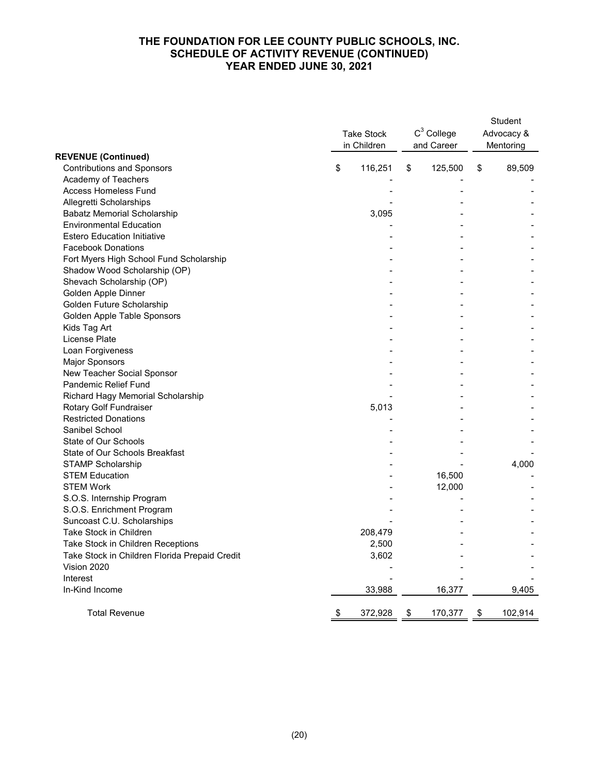## **THE FOUNDATION FOR LEE COUNTY PUBLIC SCHOOLS, INC. SCHEDULE OF ACTIVITY REVENUE (CONTINUED) YEAR ENDED JUNE 30, 2021**

|                                               | <b>Take Stock</b><br>in Children |         | $C^3$ College<br>and Career | Student<br>Advocacy &<br>Mentoring |         |  |
|-----------------------------------------------|----------------------------------|---------|-----------------------------|------------------------------------|---------|--|
| <b>REVENUE (Continued)</b>                    |                                  |         |                             |                                    |         |  |
| <b>Contributions and Sponsors</b>             | \$                               | 116,251 | \$<br>125,500               | \$                                 | 89,509  |  |
| Academy of Teachers                           |                                  |         |                             |                                    |         |  |
| <b>Access Homeless Fund</b>                   |                                  |         |                             |                                    |         |  |
| Allegretti Scholarships                       |                                  |         |                             |                                    |         |  |
| <b>Babatz Memorial Scholarship</b>            |                                  | 3,095   |                             |                                    |         |  |
| <b>Environmental Education</b>                |                                  |         |                             |                                    |         |  |
| <b>Estero Education Initiative</b>            |                                  |         |                             |                                    |         |  |
| <b>Facebook Donations</b>                     |                                  |         |                             |                                    |         |  |
| Fort Myers High School Fund Scholarship       |                                  |         |                             |                                    |         |  |
| Shadow Wood Scholarship (OP)                  |                                  |         |                             |                                    |         |  |
| Shevach Scholarship (OP)                      |                                  |         |                             |                                    |         |  |
| Golden Apple Dinner                           |                                  |         |                             |                                    |         |  |
| Golden Future Scholarship                     |                                  |         |                             |                                    |         |  |
| Golden Apple Table Sponsors                   |                                  |         |                             |                                    |         |  |
| Kids Tag Art                                  |                                  |         |                             |                                    |         |  |
| License Plate                                 |                                  |         |                             |                                    |         |  |
| Loan Forgiveness                              |                                  |         |                             |                                    |         |  |
| Major Sponsors                                |                                  |         |                             |                                    |         |  |
| New Teacher Social Sponsor                    |                                  |         |                             |                                    |         |  |
| Pandemic Relief Fund                          |                                  |         |                             |                                    |         |  |
| Richard Hagy Memorial Scholarship             |                                  |         |                             |                                    |         |  |
| Rotary Golf Fundraiser                        |                                  | 5,013   |                             |                                    |         |  |
| <b>Restricted Donations</b>                   |                                  |         |                             |                                    |         |  |
| Sanibel School                                |                                  |         |                             |                                    |         |  |
| State of Our Schools                          |                                  |         |                             |                                    |         |  |
| State of Our Schools Breakfast                |                                  |         |                             |                                    |         |  |
| <b>STAMP Scholarship</b>                      |                                  |         |                             |                                    | 4,000   |  |
| <b>STEM Education</b>                         |                                  |         | 16,500                      |                                    |         |  |
| <b>STEM Work</b>                              |                                  |         | 12,000                      |                                    |         |  |
| S.O.S. Internship Program                     |                                  |         |                             |                                    |         |  |
| S.O.S. Enrichment Program                     |                                  |         |                             |                                    |         |  |
| Suncoast C.U. Scholarships                    |                                  |         |                             |                                    |         |  |
| Take Stock in Children                        |                                  | 208,479 |                             |                                    |         |  |
| Take Stock in Children Receptions             |                                  | 2,500   |                             |                                    |         |  |
| Take Stock in Children Florida Prepaid Credit |                                  | 3,602   |                             |                                    |         |  |
| Vision 2020                                   |                                  |         |                             |                                    |         |  |
| Interest                                      |                                  |         |                             |                                    |         |  |
| In-Kind Income                                |                                  | 33,988  | 16,377                      |                                    | 9,405   |  |
| <b>Total Revenue</b>                          | \$                               | 372,928 | \$<br>170,377               | \$                                 | 102,914 |  |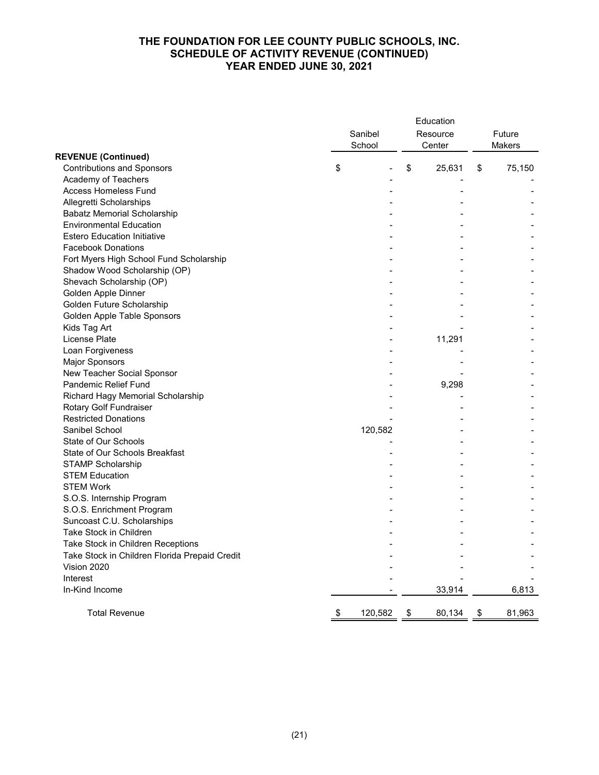## **THE FOUNDATION FOR LEE COUNTY PUBLIC SCHOOLS, INC. SCHEDULE OF ACTIVITY REVENUE (CONTINUED) YEAR ENDED JUNE 30, 2021**

|                                               |               | Education    |                  |  |  |  |
|-----------------------------------------------|---------------|--------------|------------------|--|--|--|
|                                               | Sanibel       | Resource     | Future<br>Makers |  |  |  |
|                                               | School        | Center       |                  |  |  |  |
| <b>REVENUE (Continued)</b>                    |               |              |                  |  |  |  |
| <b>Contributions and Sponsors</b>             | \$            | \$<br>25,631 | \$<br>75,150     |  |  |  |
| Academy of Teachers                           |               |              |                  |  |  |  |
| <b>Access Homeless Fund</b>                   |               |              |                  |  |  |  |
| Allegretti Scholarships                       |               |              |                  |  |  |  |
| <b>Babatz Memorial Scholarship</b>            |               |              |                  |  |  |  |
| <b>Environmental Education</b>                |               |              |                  |  |  |  |
| <b>Estero Education Initiative</b>            |               |              |                  |  |  |  |
| <b>Facebook Donations</b>                     |               |              |                  |  |  |  |
| Fort Myers High School Fund Scholarship       |               |              |                  |  |  |  |
| Shadow Wood Scholarship (OP)                  |               |              |                  |  |  |  |
| Shevach Scholarship (OP)                      |               |              |                  |  |  |  |
| Golden Apple Dinner                           |               |              |                  |  |  |  |
| Golden Future Scholarship                     |               |              |                  |  |  |  |
| Golden Apple Table Sponsors                   |               |              |                  |  |  |  |
| Kids Tag Art                                  |               |              |                  |  |  |  |
| License Plate                                 |               | 11,291       |                  |  |  |  |
| Loan Forgiveness                              |               |              |                  |  |  |  |
| Major Sponsors                                |               |              |                  |  |  |  |
| New Teacher Social Sponsor                    |               |              |                  |  |  |  |
| <b>Pandemic Relief Fund</b>                   |               | 9,298        |                  |  |  |  |
| Richard Hagy Memorial Scholarship             |               |              |                  |  |  |  |
| Rotary Golf Fundraiser                        |               |              |                  |  |  |  |
| <b>Restricted Donations</b>                   |               |              |                  |  |  |  |
| Sanibel School                                | 120,582       |              |                  |  |  |  |
| State of Our Schools                          |               |              |                  |  |  |  |
| State of Our Schools Breakfast                |               |              |                  |  |  |  |
| <b>STAMP Scholarship</b>                      |               |              |                  |  |  |  |
| <b>STEM Education</b>                         |               |              |                  |  |  |  |
| <b>STEM Work</b>                              |               |              |                  |  |  |  |
| S.O.S. Internship Program                     |               |              |                  |  |  |  |
| S.O.S. Enrichment Program                     |               |              |                  |  |  |  |
| Suncoast C.U. Scholarships                    |               |              |                  |  |  |  |
| Take Stock in Children                        |               |              |                  |  |  |  |
| Take Stock in Children Receptions             |               |              |                  |  |  |  |
| Take Stock in Children Florida Prepaid Credit |               |              |                  |  |  |  |
| Vision 2020                                   |               |              |                  |  |  |  |
| Interest                                      |               |              |                  |  |  |  |
| In-Kind Income                                |               | 33,914       | 6,813            |  |  |  |
| <b>Total Revenue</b>                          | \$<br>120,582 | \$<br>80,134 | \$<br>81,963     |  |  |  |
|                                               |               |              |                  |  |  |  |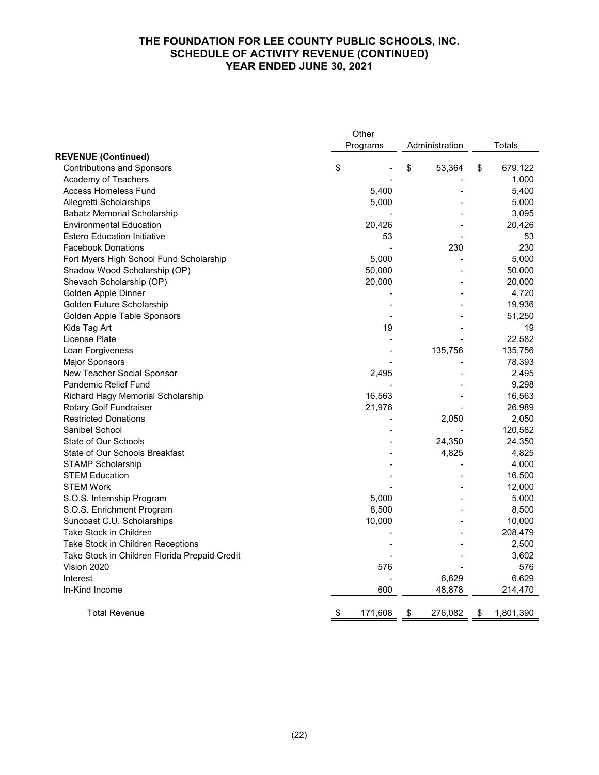### **THE FOUNDATION FOR LEE COUNTY PUBLIC SCHOOLS, INC. SCHEDULE OF ACTIVITY REVENUE (CONTINUED) YEAR ENDED JUNE 30, 2021**

|                                               | Other         |                          |                 |
|-----------------------------------------------|---------------|--------------------------|-----------------|
|                                               | Programs      | Administration           | <b>Totals</b>   |
| <b>REVENUE (Continued)</b>                    |               |                          |                 |
| <b>Contributions and Sponsors</b>             | \$            | \$<br>53,364             | \$<br>679,122   |
| Academy of Teachers                           |               |                          | 1,000           |
| <b>Access Homeless Fund</b>                   | 5,400         |                          | 5,400           |
| Allegretti Scholarships                       | 5,000         |                          | 5,000           |
| <b>Babatz Memorial Scholarship</b>            |               |                          | 3,095           |
| <b>Environmental Education</b>                | 20,426        |                          | 20,426          |
| <b>Estero Education Initiative</b>            | 53            |                          | 53              |
| <b>Facebook Donations</b>                     |               | 230                      | 230             |
| Fort Myers High School Fund Scholarship       | 5,000         |                          | 5,000           |
| Shadow Wood Scholarship (OP)                  | 50,000        |                          | 50,000          |
| Shevach Scholarship (OP)                      | 20,000        |                          | 20,000          |
| Golden Apple Dinner                           |               |                          | 4,720           |
| Golden Future Scholarship                     |               |                          | 19,936          |
| Golden Apple Table Sponsors                   |               |                          | 51,250          |
| Kids Tag Art                                  | 19            | $\overline{\phantom{a}}$ | 19              |
| License Plate                                 |               |                          | 22,582          |
| Loan Forgiveness                              |               | 135,756                  | 135,756         |
| <b>Major Sponsors</b>                         |               |                          | 78,393          |
| New Teacher Social Sponsor                    | 2,495         |                          | 2,495           |
| <b>Pandemic Relief Fund</b>                   |               |                          | 9,298           |
| Richard Hagy Memorial Scholarship             | 16,563        |                          | 16,563          |
| Rotary Golf Fundraiser                        | 21,976        |                          | 26,989          |
| <b>Restricted Donations</b>                   |               | 2,050                    | 2,050           |
| Sanibel School                                |               |                          | 120,582         |
| State of Our Schools                          |               | 24,350                   | 24,350          |
| State of Our Schools Breakfast                |               | 4,825                    | 4,825           |
| <b>STAMP Scholarship</b>                      |               |                          | 4,000           |
| <b>STEM Education</b>                         |               |                          | 16,500          |
| <b>STEM Work</b>                              |               |                          | 12,000          |
| S.O.S. Internship Program                     | 5,000         |                          | 5,000           |
| S.O.S. Enrichment Program                     | 8,500         |                          | 8,500           |
| Suncoast C.U. Scholarships                    | 10,000        |                          | 10,000          |
| Take Stock in Children                        |               |                          | 208,479         |
| Take Stock in Children Receptions             |               |                          | 2,500           |
| Take Stock in Children Florida Prepaid Credit |               |                          | 3,602           |
| Vision 2020                                   | 576           |                          | 576             |
| Interest                                      |               | 6,629                    | 6,629           |
| In-Kind Income                                | 600           | 48,878                   | 214,470         |
|                                               |               |                          |                 |
| <b>Total Revenue</b>                          | \$<br>171,608 | \$<br>276,082            | 1,801,390<br>\$ |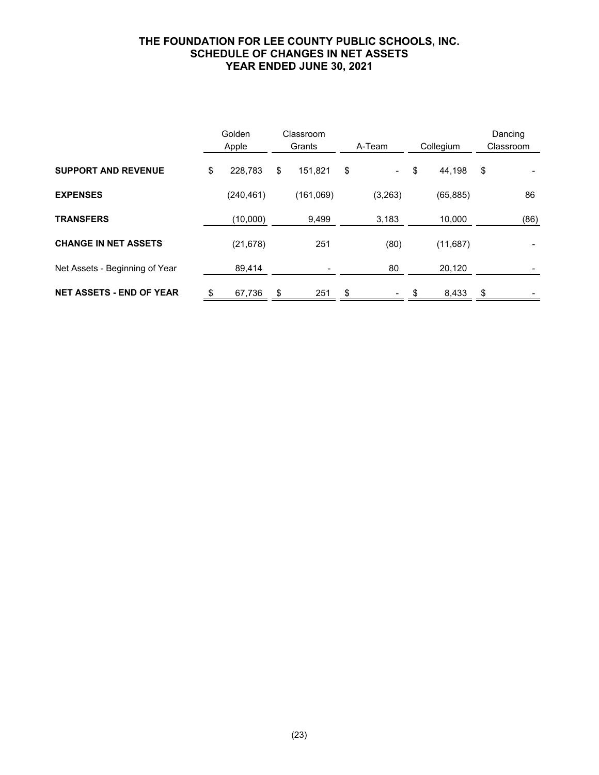# **THE FOUNDATION FOR LEE COUNTY PUBLIC SCHOOLS, INC. SCHEDULE OF CHANGES IN NET ASSETS YEAR ENDED JUNE 30, 2021**

|                                 | Golden<br>Classroom<br>Apple<br>Grants |    | A-Team<br>Collegium |    |                |    | Dancing<br>Classroom |    |      |
|---------------------------------|----------------------------------------|----|---------------------|----|----------------|----|----------------------|----|------|
| <b>SUPPORT AND REVENUE</b>      | \$<br>228.783                          | \$ | 151.821             | \$ | $\sim$         | \$ | 44.198               | \$ |      |
| <b>EXPENSES</b>                 | (240, 461)                             |    | (161,069)           |    | (3,263)        |    | (65, 885)            |    | 86   |
| <b>TRANSFERS</b>                | (10,000)                               |    | 9,499               |    | 3,183          |    | 10,000               |    | (86) |
| <b>CHANGE IN NET ASSETS</b>     | (21, 678)                              |    | 251                 |    | (80)           |    | (11,687)             |    |      |
| Net Assets - Beginning of Year  | 89,414                                 |    |                     |    | 80             |    | 20,120               |    |      |
| <b>NET ASSETS - END OF YEAR</b> | \$<br>67,736                           | \$ | 251                 | \$ | $\blacksquare$ | \$ | 8,433                | \$ |      |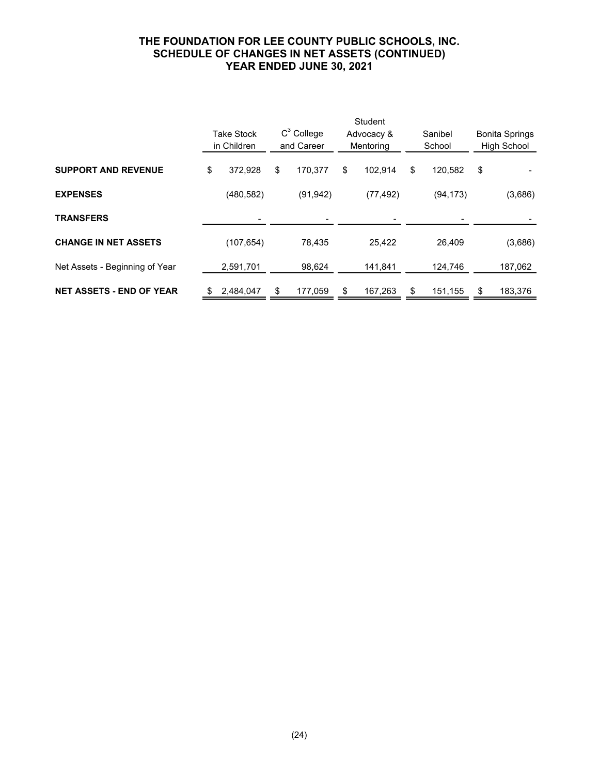# **THE FOUNDATION FOR LEE COUNTY PUBLIC SCHOOLS, INC. SCHEDULE OF CHANGES IN NET ASSETS (CONTINUED) YEAR ENDED JUNE 30, 2021**

|                                 | Student |                   |    |               |    |            |    |           |    |                       |
|---------------------------------|---------|-------------------|----|---------------|----|------------|----|-----------|----|-----------------------|
|                                 |         | <b>Take Stock</b> |    | $C^3$ College |    | Advocacy & |    | Sanibel   |    | <b>Bonita Springs</b> |
|                                 |         | in Children       |    | and Career    |    | Mentoring  |    | School    |    | High School           |
| <b>SUPPORT AND REVENUE</b>      | \$      | 372.928           | \$ | 170.377       | \$ | 102.914    | \$ | 120.582   | \$ |                       |
| <b>EXPENSES</b>                 |         | (480, 582)        |    | (91, 942)     |    | (77, 492)  |    | (94, 173) |    | (3,686)               |
| <b>TRANSFERS</b>                |         |                   |    |               |    |            |    |           |    |                       |
| <b>CHANGE IN NET ASSETS</b>     |         | (107,654)         |    | 78,435        |    | 25,422     |    | 26.409    |    | (3,686)               |
| Net Assets - Beginning of Year  |         | 2,591,701         |    | 98,624        |    | 141,841    |    | 124,746   |    | 187,062               |
| <b>NET ASSETS - END OF YEAR</b> | S       | 2.484.047         | \$ | 177,059       | \$ | 167,263    | \$ | 151,155   | \$ | 183,376               |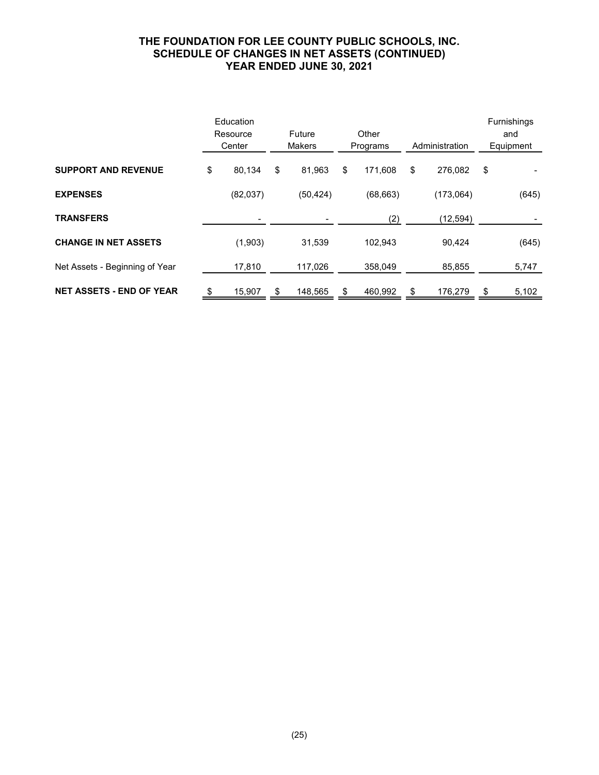# **THE FOUNDATION FOR LEE COUNTY PUBLIC SCHOOLS, INC. SCHEDULE OF CHANGES IN NET ASSETS (CONTINUED) YEAR ENDED JUNE 30, 2021**

|                                 | Education<br>Resource<br>Center | Future<br><b>Makers</b> |    | Other<br>Programs |    | Administration | Furnishings<br>and<br>Equipment |
|---------------------------------|---------------------------------|-------------------------|----|-------------------|----|----------------|---------------------------------|
| <b>SUPPORT AND REVENUE</b>      | \$<br>80.134                    | \$<br>81.963            | \$ | 171.608           | \$ | 276.082        | \$                              |
| <b>EXPENSES</b>                 | (82,037)                        | (50, 424)               |    | (68, 663)         |    | (173,064)      | (645)                           |
| <b>TRANSFERS</b>                |                                 |                         |    | (2)               |    | (12, 594)      |                                 |
| <b>CHANGE IN NET ASSETS</b>     | (1,903)                         | 31,539                  |    | 102,943           |    | 90.424         | (645)                           |
| Net Assets - Beginning of Year  | 17,810                          | 117,026                 |    | 358,049           |    | 85,855         | 5,747                           |
| <b>NET ASSETS - END OF YEAR</b> | \$<br>15,907                    | \$<br>148,565           | S  | 460,992           | S  | 176,279        | \$<br>5,102                     |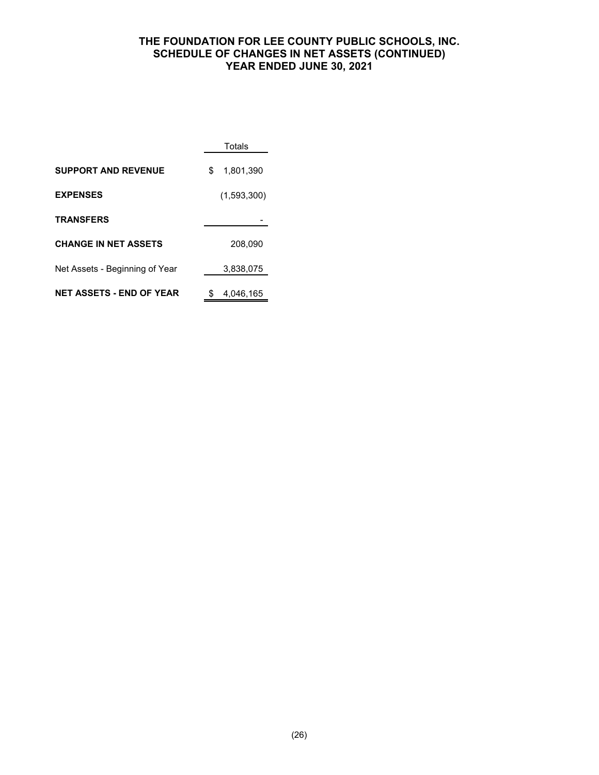# **THE FOUNDATION FOR LEE COUNTY PUBLIC SCHOOLS, INC. SCHEDULE OF CHANGES IN NET ASSETS (CONTINUED) YEAR ENDED JUNE 30, 2021**

|                                 | Totals |             |  |  |
|---------------------------------|--------|-------------|--|--|
| <b>SUPPORT AND REVENUE</b>      | \$     | 1.801.390   |  |  |
| <b>EXPENSES</b>                 |        | (1,593,300) |  |  |
| <b>TRANSFERS</b>                |        |             |  |  |
| <b>CHANGE IN NET ASSETS</b>     |        | 208,090     |  |  |
| Net Assets - Beginning of Year  |        | 3,838,075   |  |  |
| <b>NET ASSETS - END OF YEAR</b> | \$     | 4,046,165   |  |  |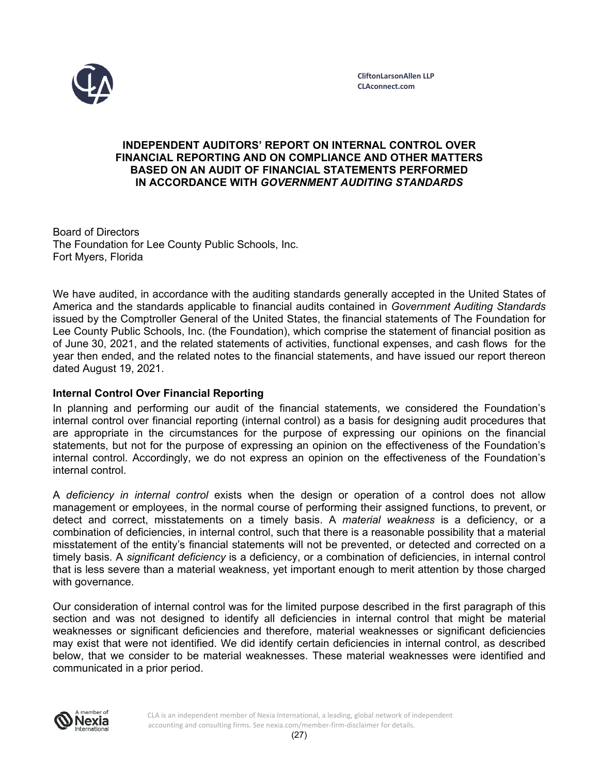

# **INDEPENDENT AUDITORS' REPORT ON INTERNAL CONTROL OVER FINANCIAL REPORTING AND ON COMPLIANCE AND OTHER MATTERS BASED ON AN AUDIT OF FINANCIAL STATEMENTS PERFORMED IN ACCORDANCE WITH** *GOVERNMENT AUDITING STANDARDS*

Board of Directors The Foundation for Lee County Public Schools, Inc. Fort Myers, Florida

We have audited, in accordance with the auditing standards generally accepted in the United States of America and the standards applicable to financial audits contained in *Government Auditing Standards* issued by the Comptroller General of the United States, the financial statements of The Foundation for Lee County Public Schools, Inc. (the Foundation), which comprise the statement of financial position as of June 30, 2021, and the related statements of activities, functional expenses, and cash flows for the year then ended, and the related notes to the financial statements, and have issued our report thereon dated August 19, 2021.

# **Internal Control Over Financial Reporting**

In planning and performing our audit of the financial statements, we considered the Foundation's internal control over financial reporting (internal control) as a basis for designing audit procedures that are appropriate in the circumstances for the purpose of expressing our opinions on the financial statements, but not for the purpose of expressing an opinion on the effectiveness of the Foundation's internal control. Accordingly, we do not express an opinion on the effectiveness of the Foundation's internal control.

A *deficiency in internal control* exists when the design or operation of a control does not allow management or employees, in the normal course of performing their assigned functions, to prevent, or detect and correct, misstatements on a timely basis. A *material weakness* is a deficiency, or a combination of deficiencies, in internal control, such that there is a reasonable possibility that a material misstatement of the entity's financial statements will not be prevented, or detected and corrected on a timely basis. A *significant deficiency* is a deficiency, or a combination of deficiencies, in internal control that is less severe than a material weakness, yet important enough to merit attention by those charged with governance.

Our consideration of internal control was for the limited purpose described in the first paragraph of this section and was not designed to identify all deficiencies in internal control that might be material weaknesses or significant deficiencies and therefore, material weaknesses or significant deficiencies may exist that were not identified. We did identify certain deficiencies in internal control, as described below, that we consider to be material weaknesses. These material weaknesses were identified and communicated in a prior period.



CLA is an independent member of Nexia International, a leading, global network of independent accounting and consulting firms. See nexia.com/member-firm-disclaimer for details.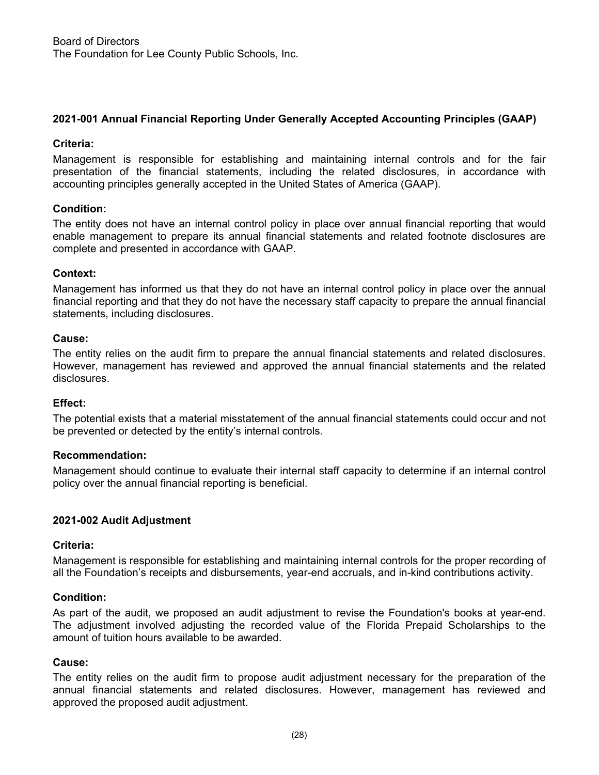# **2021-001 Annual Financial Reporting Under Generally Accepted Accounting Principles (GAAP)**

# **Criteria:**

Management is responsible for establishing and maintaining internal controls and for the fair presentation of the financial statements, including the related disclosures, in accordance with accounting principles generally accepted in the United States of America (GAAP).

# **Condition:**

The entity does not have an internal control policy in place over annual financial reporting that would enable management to prepare its annual financial statements and related footnote disclosures are complete and presented in accordance with GAAP.

# **Context:**

Management has informed us that they do not have an internal control policy in place over the annual financial reporting and that they do not have the necessary staff capacity to prepare the annual financial statements, including disclosures.

# **Cause:**

The entity relies on the audit firm to prepare the annual financial statements and related disclosures. However, management has reviewed and approved the annual financial statements and the related disclosures.

# **Effect:**

The potential exists that a material misstatement of the annual financial statements could occur and not be prevented or detected by the entity's internal controls.

# **Recommendation:**

Management should continue to evaluate their internal staff capacity to determine if an internal control policy over the annual financial reporting is beneficial.

# **2021-002 Audit Adjustment**

# **Criteria:**

Management is responsible for establishing and maintaining internal controls for the proper recording of all the Foundation's receipts and disbursements, year-end accruals, and in-kind contributions activity.

# **Condition:**

As part of the audit, we proposed an audit adjustment to revise the Foundation's books at year-end. The adjustment involved adjusting the recorded value of the Florida Prepaid Scholarships to the amount of tuition hours available to be awarded.

# **Cause:**

The entity relies on the audit firm to propose audit adjustment necessary for the preparation of the annual financial statements and related disclosures. However, management has reviewed and approved the proposed audit adjustment.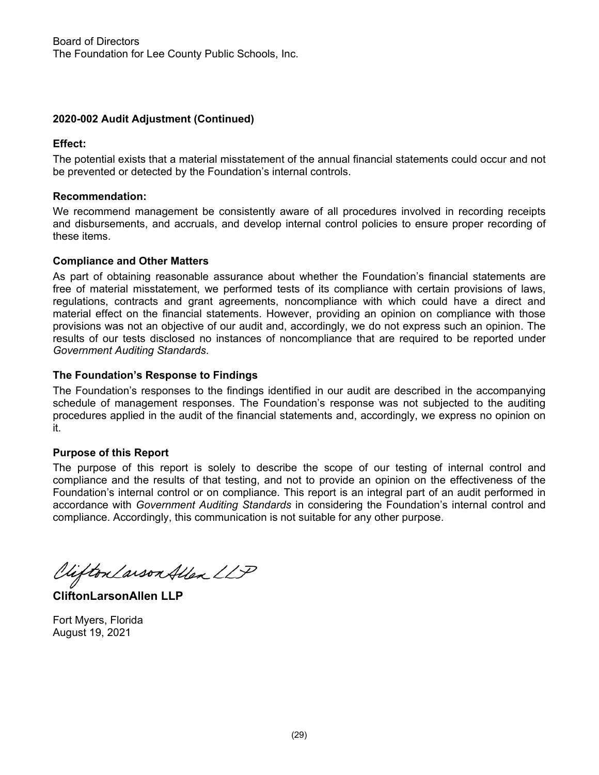# **2020-002 Audit Adjustment (Continued)**

## **Effect:**

The potential exists that a material misstatement of the annual financial statements could occur and not be prevented or detected by the Foundation's internal controls.

#### **Recommendation:**

We recommend management be consistently aware of all procedures involved in recording receipts and disbursements, and accruals, and develop internal control policies to ensure proper recording of these items.

## **Compliance and Other Matters**

As part of obtaining reasonable assurance about whether the Foundation's financial statements are free of material misstatement, we performed tests of its compliance with certain provisions of laws, regulations, contracts and grant agreements, noncompliance with which could have a direct and material effect on the financial statements. However, providing an opinion on compliance with those provisions was not an objective of our audit and, accordingly, we do not express such an opinion. The results of our tests disclosed no instances of noncompliance that are required to be reported under *Government Auditing Standards*.

## **The Foundation's Response to Findings**

The Foundation's responses to the findings identified in our audit are described in the accompanying schedule of management responses. The Foundation's response was not subjected to the auditing procedures applied in the audit of the financial statements and, accordingly, we express no opinion on it.

# **Purpose of this Report**

The purpose of this report is solely to describe the scope of our testing of internal control and compliance and the results of that testing, and not to provide an opinion on the effectiveness of the Foundation's internal control or on compliance. This report is an integral part of an audit performed in accordance with *Government Auditing Standards* in considering the Foundation's internal control and compliance. Accordingly, this communication is not suitable for any other purpose.

Viifton Larson Allen LLP

**CliftonLarsonAllen LLP** 

Fort Myers, Florida August 19, 2021